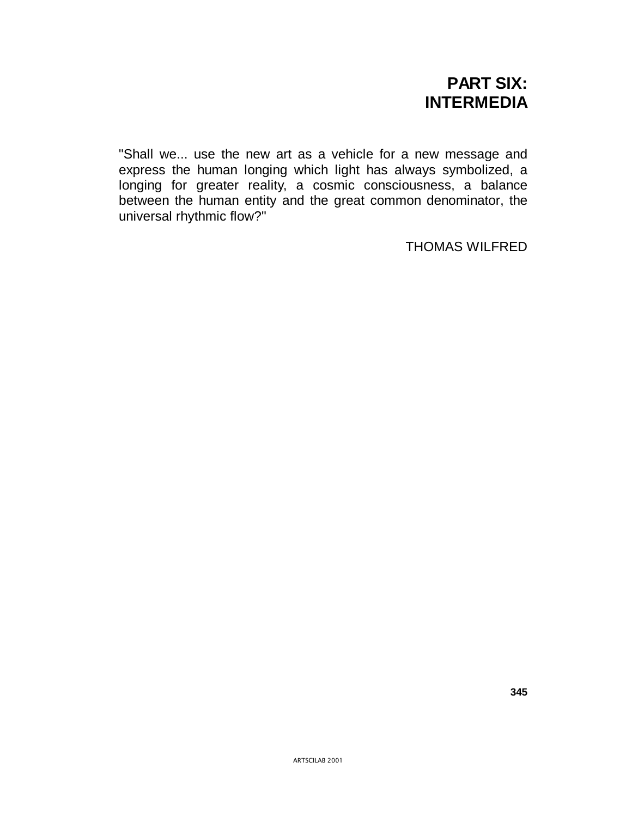# **PART SIX: INTERMEDIA**

"Shall we... use the new art as a vehicle for a new message and express the human longing which light has always symbolized, a longing for greater reality, a cosmic consciousness, a balance between the human entity and the great common denominator, the universal rhythmic flow?"

THOMAS WILFRED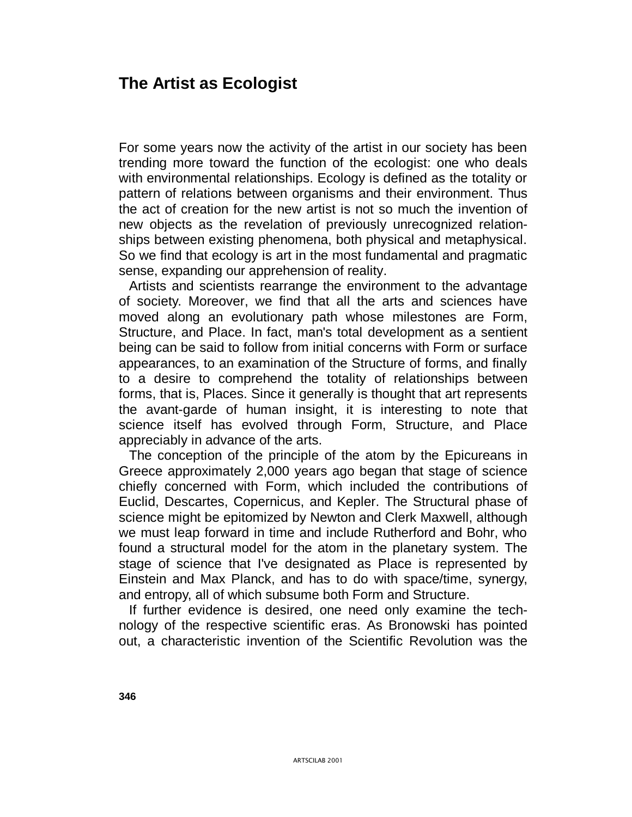# **The Artist as Ecologist**

For some years now the activity of the artist in our society has been trending more toward the function of the ecologist: one who deals with environmental relationships. Ecology is defined as the totality or pattern of relations between organisms and their environment. Thus the act of creation for the new artist is not so much the invention of new objects as the revelation of previously unrecognized relationships between existing phenomena, both physical and metaphysical. So we find that ecology is art in the most fundamental and pragmatic sense, expanding our apprehension of reality.

Artists and scientists rearrange the environment to the advantage of society. Moreover, we find that all the arts and sciences have moved along an evolutionary path whose milestones are Form, Structure, and Place. In fact, man's total development as a sentient being can be said to follow from initial concerns with Form or surface appearances, to an examination of the Structure of forms, and finally to a desire to comprehend the totality of relationships between forms, that is, Places. Since it generally is thought that art represents the avant-garde of human insight, it is interesting to note that science itself has evolved through Form, Structure, and Place appreciably in advance of the arts.

The conception of the principle of the atom by the Epicureans in Greece approximately 2,000 years ago began that stage of science chiefly concerned with Form, which included the contributions of Euclid, Descartes, Copernicus, and Kepler. The Structural phase of science might be epitomized by Newton and Clerk Maxwell, although we must leap forward in time and include Rutherford and Bohr, who found a structural model for the atom in the planetary system. The stage of science that I've designated as Place is represented by Einstein and Max Planck, and has to do with space/time, synergy, and entropy, all of which subsume both Form and Structure.

If further evidence is desired, one need only examine the technology of the respective scientific eras. As Bronowski has pointed out, a characteristic invention of the Scientific Revolution was the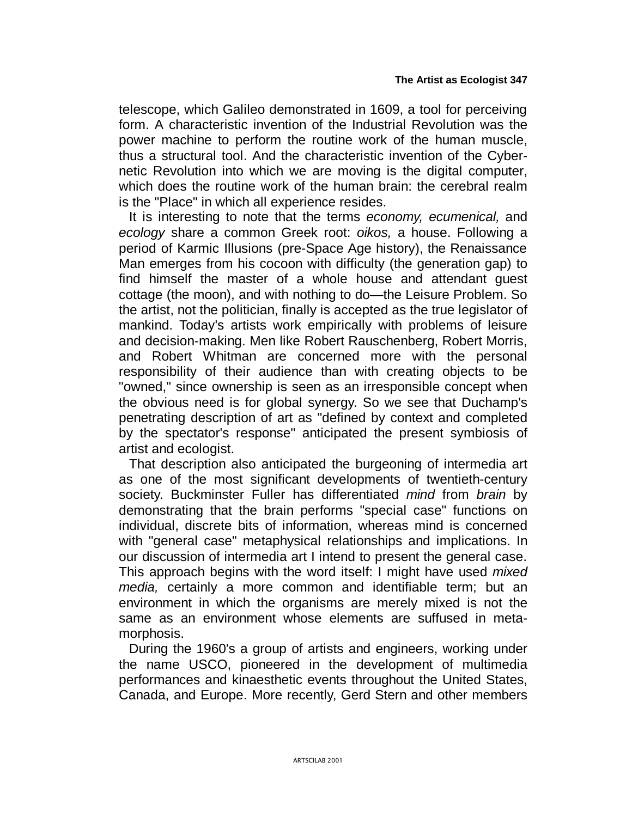telescope, which Galileo demonstrated in 1609, a tool for perceiving form. A characteristic invention of the Industrial Revolution was the power machine to perform the routine work of the human muscle, thus a structural tool. And the characteristic invention of the Cybernetic Revolution into which we are moving is the digital computer, which does the routine work of the human brain: the cerebral realm is the "Place" in which all experience resides.

It is interesting to note that the terms *economy, ecumenical,* and *ecology* share a common Greek root: *oikos,* a house. Following a period of Karmic Illusions (pre-Space Age history), the Renaissance Man emerges from his cocoon with difficulty (the generation gap) to find himself the master of a whole house and attendant guest cottage (the moon), and with nothing to do— the Leisure Problem. So the artist, not the politician, finally is accepted as the true legislator of mankind. Today's artists work empirically with problems of leisure and decision-making. Men like Robert Rauschenberg, Robert Morris, and Robert Whitman are concerned more with the personal responsibility of their audience than with creating objects to be "owned," since ownership is seen as an irresponsible concept when the obvious need is for global synergy. So we see that Duchamp's penetrating description of art as "defined by context and completed by the spectator's response" anticipated the present symbiosis of artist and ecologist.

That description also anticipated the burgeoning of intermedia art as one of the most significant developments of twentieth-century society. Buckminster Fuller has differentiated *mind* from *brain* by demonstrating that the brain performs "special case" functions on individual, discrete bits of information, whereas mind is concerned with "general case" metaphysical relationships and implications. In our discussion of intermedia art I intend to present the general case. This approach begins with the word itself: I might have used *mixed media,* certainly a more common and identifiable term; but an environment in which the organisms are merely mixed is not the same as an environment whose elements are suffused in metamorphosis.

During the 1960's a group of artists and engineers, working under the name USCO, pioneered in the development of multimedia performances and kinaesthetic events throughout the United States, Canada, and Europe. More recently, Gerd Stern and other members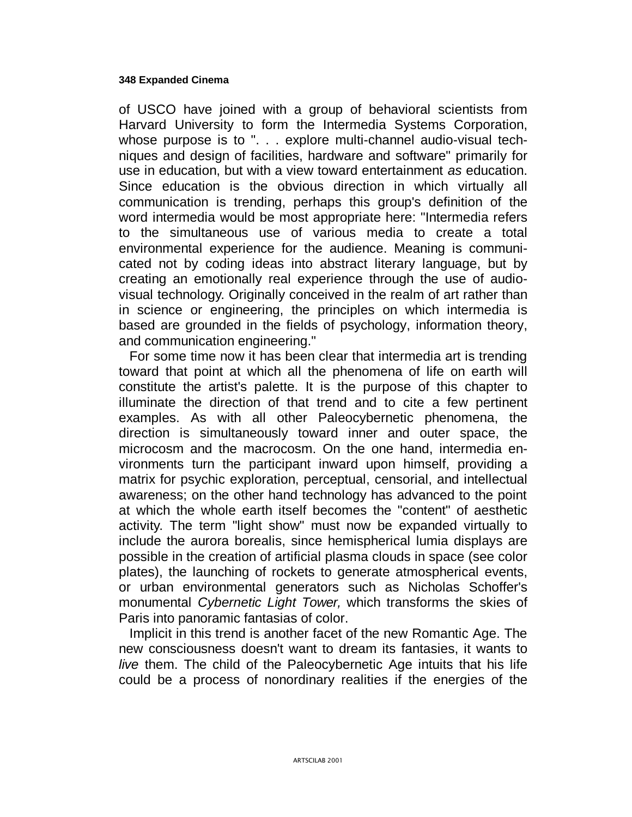of USCO have joined with a group of behavioral scientists from Harvard University to form the Intermedia Systems Corporation, whose purpose is to ". . . explore multi-channel audio-visual techniques and design of facilities, hardware and software" primarily for use in education, but with a view toward entertainment *as* education. Since education is the obvious direction in which virtually all communication is trending, perhaps this group's definition of the word intermedia would be most appropriate here: "Intermedia refers to the simultaneous use of various media to create a total environmental experience for the audience. Meaning is communicated not by coding ideas into abstract literary language, but by creating an emotionally real experience through the use of audiovisual technology. Originally conceived in the realm of art rather than in science or engineering, the principles on which intermedia is based are grounded in the fields of psychology, information theory, and communication engineering."

For some time now it has been clear that intermedia art is trending toward that point at which all the phenomena of life on earth will constitute the artist's palette. It is the purpose of this chapter to illuminate the direction of that trend and to cite a few pertinent examples. As with all other Paleocybernetic phenomena, the direction is simultaneously toward inner and outer space, the microcosm and the macrocosm. On the one hand, intermedia environments turn the participant inward upon himself, providing a matrix for psychic exploration, perceptual, censorial, and intellectual awareness; on the other hand technology has advanced to the point at which the whole earth itself becomes the "content" of aesthetic activity. The term "light show" must now be expanded virtually to include the aurora borealis, since hemispherical lumia displays are possible in the creation of artificial plasma clouds in space (see color plates), the launching of rockets to generate atmospherical events, or urban environmental generators such as Nicholas Schoffer's monumental *Cybernetic Light Tower,* which transforms the skies of Paris into panoramic fantasias of color.

Implicit in this trend is another facet of the new Romantic Age. The new consciousness doesn't want to dream its fantasies, it wants to *live* them. The child of the Paleocybernetic Age intuits that his life could be a process of nonordinary realities if the energies of the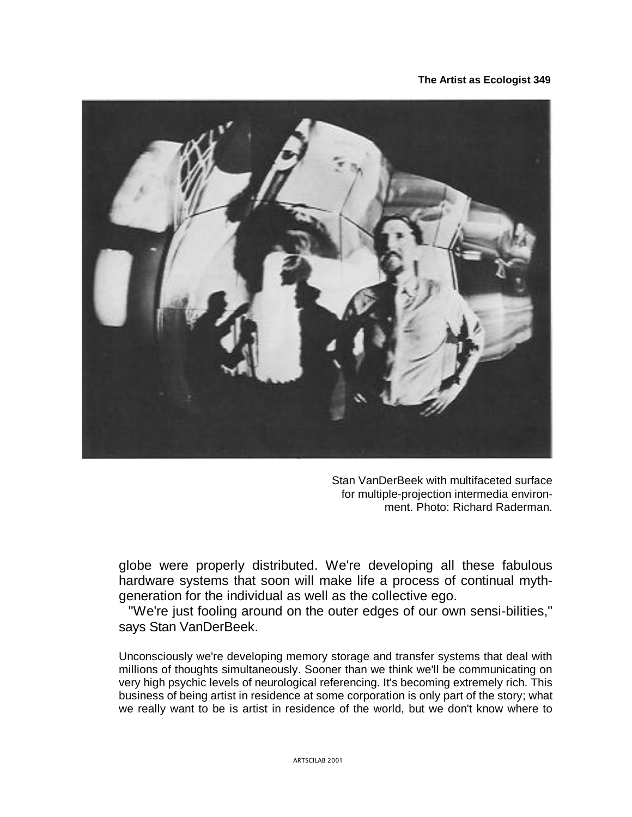## **The Artist as Ecologist 349**



Stan VanDerBeek with multifaceted surface for multiple-projection intermedia environment. Photo: Richard Raderman.

globe were properly distributed. We're developing all these fabulous hardware systems that soon will make life a process of continual mythgeneration for the individual as well as the collective ego.

"We're just fooling around on the outer edges of our own sensi-bilities," says Stan VanDerBeek.

Unconsciously we're developing memory storage and transfer systems that deal with millions of thoughts simultaneously. Sooner than we think we'll be communicating on very high psychic levels of neurological referencing. It's becoming extremely rich. This business of being artist in residence at some corporation is only part of the story; what we really want to be is artist in residence of the world, but we don't know where to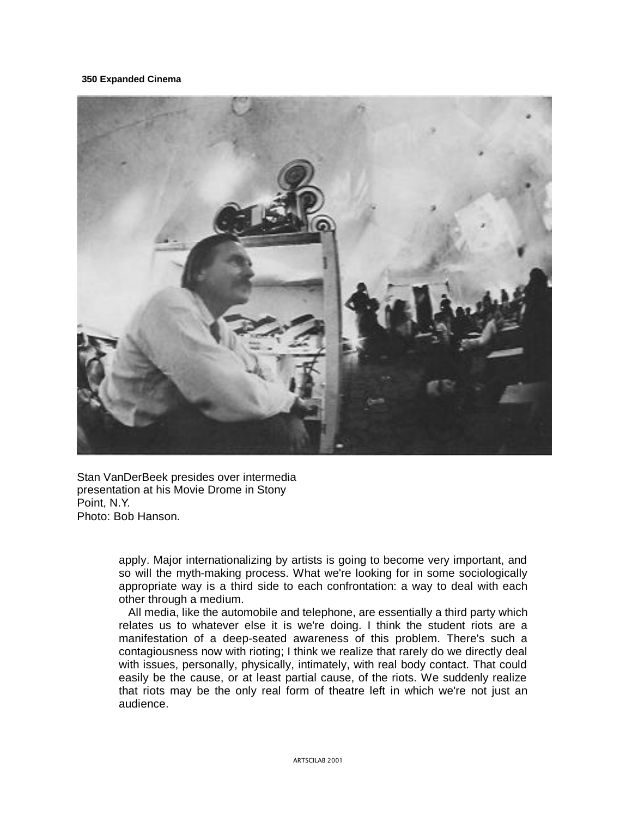

Stan VanDerBeek presides over intermedia presentation at his Movie Drome in Stony Point, N.Y. Photo: Bob Hanson.

> apply. Major internationalizing by artists is going to become very important, and so will the myth-making process. What we're looking for in some sociologically appropriate way is a third side to each confrontation: a way to deal with each other through a medium.

> All media, like the automobile and telephone, are essentially a third party which relates us to whatever else it is we're doing. I think the student riots are a manifestation of a deep-seated awareness of this problem. There's such a contagiousness now with rioting; I think we realize that rarely do we directly deal with issues, personally, physically, intimately, with real body contact. That could easily be the cause, or at least partial cause, of the riots. We suddenly realize that riots may be the only real form of theatre left in which we're not just an audience.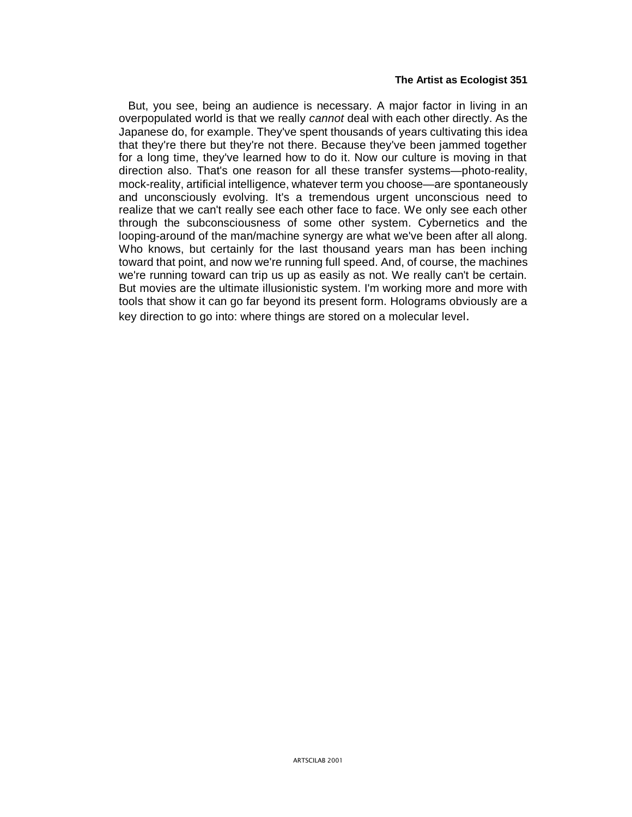#### **The Artist as Ecologist 351**

But, you see, being an audience is necessary. A major factor in living in an overpopulated world is that we really *cannot* deal with each other directly. As the Japanese do, for example. They've spent thousands of years cultivating this idea that they're there but they're not there. Because they've been jammed together for a long time, they've learned how to do it. Now our culture is moving in that direction also. That's one reason for all these transfer systems— photo-reality, mock-reality, artificial intelligence, whatever term you choose— are spontaneously and unconsciously evolving. It's a tremendous urgent unconscious need to realize that we can't really see each other face to face. We only see each other through the subconsciousness of some other system. Cybernetics and the looping-around of the man/machine synergy are what we've been after all along. Who knows, but certainly for the last thousand years man has been inching toward that point, and now we're running full speed. And, of course, the machines we're running toward can trip us up as easily as not. We really can't be certain. But movies are the ultimate illusionistic system. I'm working more and more with tools that show it can go far beyond its present form. Holograms obviously are a key direction to go into: where things are stored on a molecular level.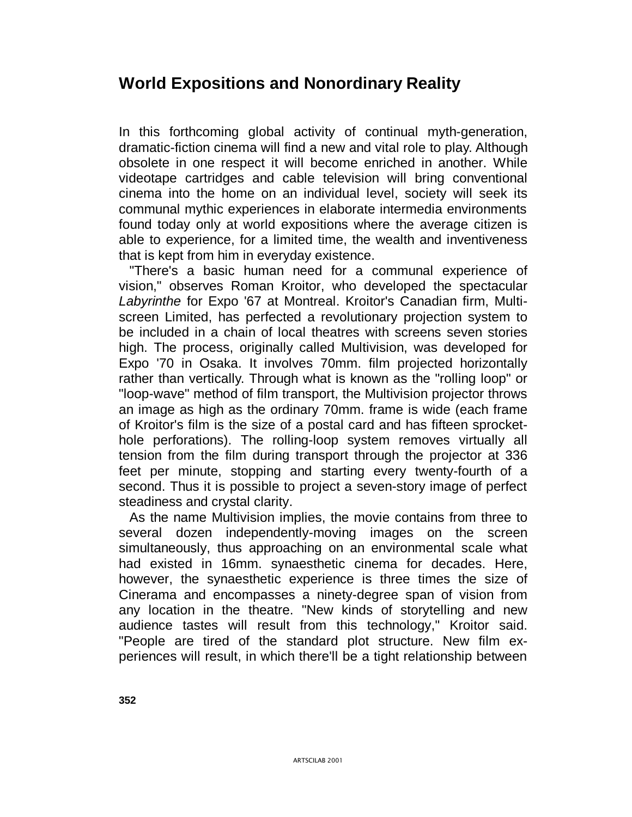# **World Expositions and Nonordinary Reality**

In this forthcoming global activity of continual myth-generation, dramatic-fiction cinema will find a new and vital role to play. Although obsolete in one respect it will become enriched in another. While videotape cartridges and cable television will bring conventional cinema into the home on an individual level, society will seek its communal mythic experiences in elaborate intermedia environments found today only at world expositions where the average citizen is able to experience, for a limited time, the wealth and inventiveness that is kept from him in everyday existence.

"There's a basic human need for a communal experience of vision," observes Roman Kroitor, who developed the spectacular *Labyrinthe* for Expo '67 at Montreal. Kroitor's Canadian firm, Multiscreen Limited, has perfected a revolutionary projection system to be included in a chain of local theatres with screens seven stories high. The process, originally called Multivision, was developed for Expo '70 in Osaka. It involves 70mm. film projected horizontally rather than vertically. Through what is known as the "rolling loop" or "loop-wave" method of film transport, the Multivision projector throws an image as high as the ordinary 70mm. frame is wide (each frame of Kroitor's film is the size of a postal card and has fifteen sprockethole perforations). The rolling-loop system removes virtually all tension from the film during transport through the projector at 336 feet per minute, stopping and starting every twenty-fourth of a second. Thus it is possible to project a seven-story image of perfect steadiness and crystal clarity.

As the name Multivision implies, the movie contains from three to several dozen independently-moving images on the screen simultaneously, thus approaching on an environmental scale what had existed in 16mm. synaesthetic cinema for decades. Here, however, the synaesthetic experience is three times the size of Cinerama and encompasses a ninety-degree span of vision from any location in the theatre. "New kinds of storytelling and new audience tastes will result from this technology," Kroitor said. "People are tired of the standard plot structure. New film experiences will result, in which there'll be a tight relationship between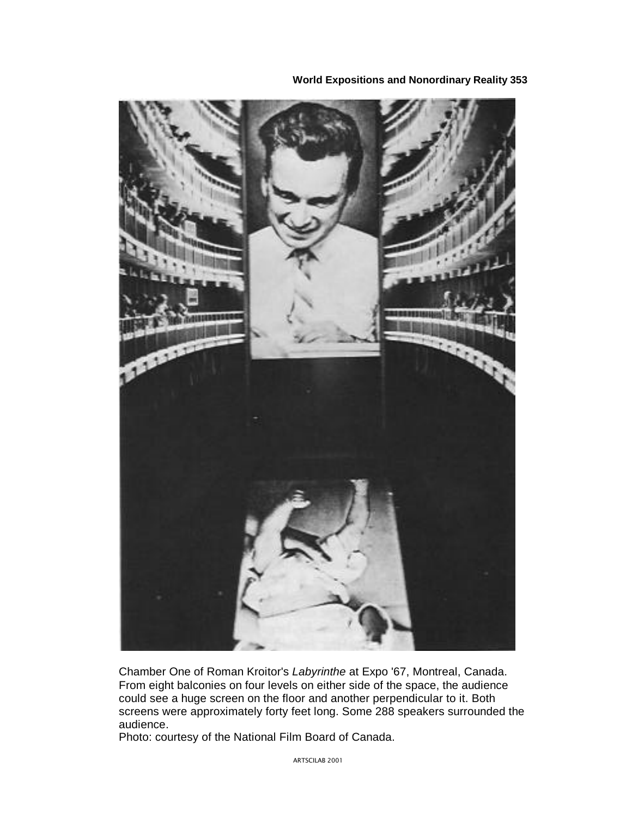

**World Expositions and Nonordinary Reality 353**

Chamber One of Roman Kroitor's *Labyrinthe* at Expo '67, Montreal, Canada. From eight balconies on four levels on either side of the space, the audience could see a huge screen on the floor and another perpendicular to it. Both screens were approximately forty feet long. Some 288 speakers surrounded the audience.

Photo: courtesy of the National Film Board of Canada.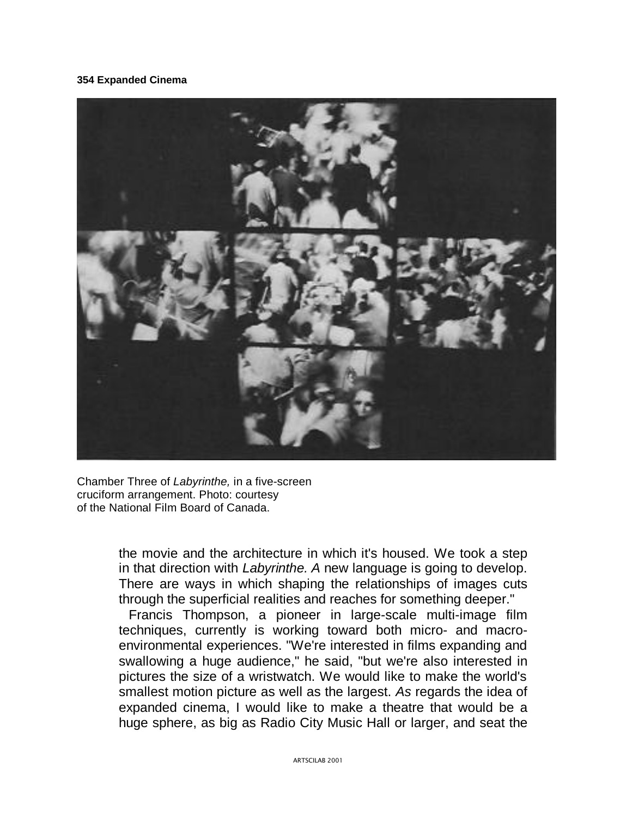

Chamber Three of *Labyrinthe,* in a five-screen cruciform arrangement. Photo: courtesy of the National Film Board of Canada.

> the movie and the architecture in which it's housed. We took a step in that direction with *Labyrinthe. A* new language is going to develop. There are ways in which shaping the relationships of images cuts through the superficial realities and reaches for something deeper."

> Francis Thompson, a pioneer in large-scale multi-image film techniques, currently is working toward both micro- and macroenvironmental experiences. "We're interested in films expanding and swallowing a huge audience," he said, "but we're also interested in pictures the size of a wristwatch. We would like to make the world's smallest motion picture as well as the largest. *As* regards the idea of expanded cinema, I would like to make a theatre that would be a huge sphere, as big as Radio City Music Hall or larger, and seat the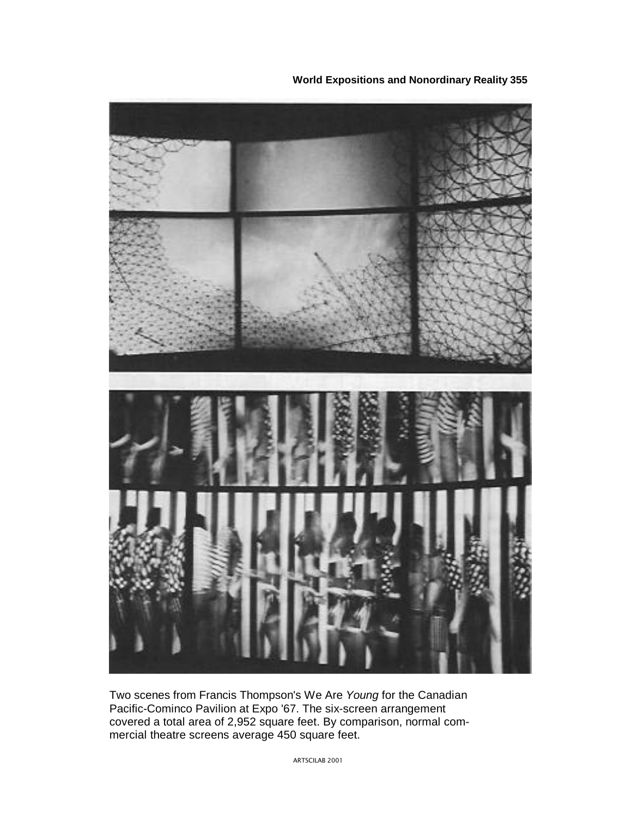**World Expositions and Nonordinary Reality 355**



Two scenes from Francis Thompson's We Are *Young* for the Canadian Pacific-Cominco Pavilion at Expo '67. The six-screen arrangement covered a total area of 2,952 square feet. By comparison, normal commercial theatre screens average 450 square feet.

ARTSCILAB 2001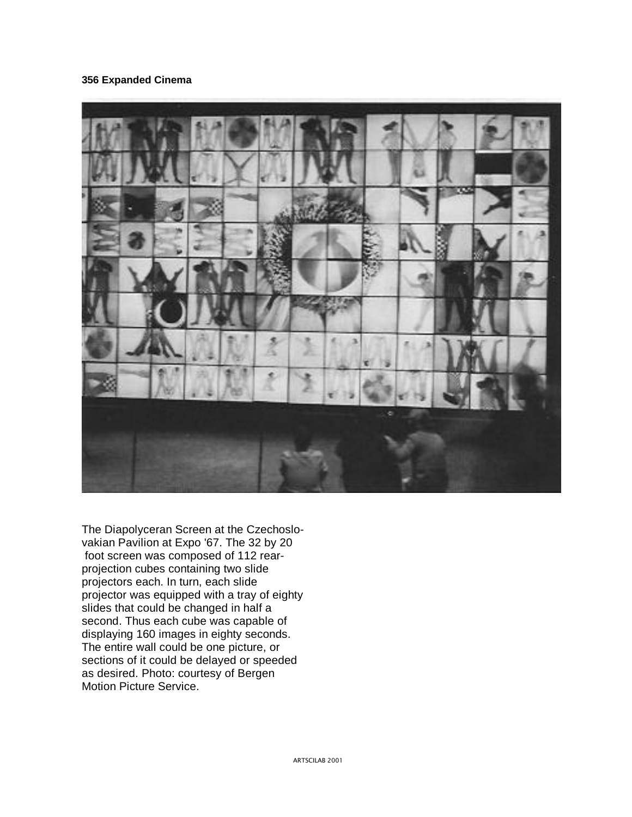

The Diapolyceran Screen at the Czechoslovakian Pavilion at Expo '67. The 32 by 20 foot screen was composed of 112 rearprojection cubes containing two slide projectors each. In turn, each slide projector was equipped with a tray of eighty slides that could be changed in half a second. Thus each cube was capable of displaying 160 images in eighty seconds. The entire wall could be one picture, or sections of it could be delayed or speeded as desired. Photo: courtesy of Bergen Motion Picture Service.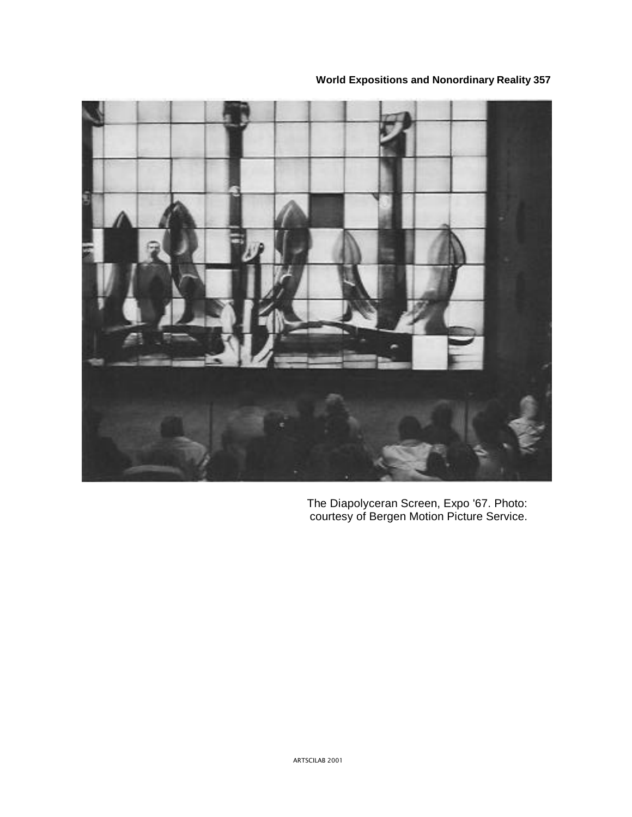**World Expositions and Nonordinary Reality 357**



The Diapolyceran Screen, Expo '67. Photo: courtesy of Bergen Motion Picture Service.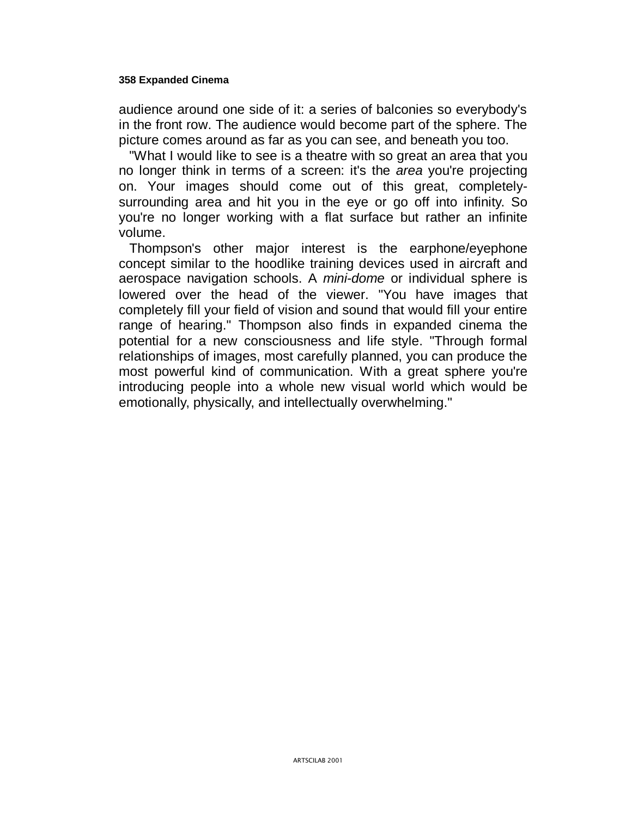audience around one side of it: a series of balconies so everybody's in the front row. The audience would become part of the sphere. The picture comes around as far as you can see, and beneath you too.

"What I would like to see is a theatre with so great an area that you no longer think in terms of a screen: it's the *area* you're projecting on. Your images should come out of this great, completelysurrounding area and hit you in the eye or go off into infinity. So you're no longer working with a flat surface but rather an infinite volume.

Thompson's other major interest is the earphone/eyephone concept similar to the hoodlike training devices used in aircraft and aerospace navigation schools. A *mini-dome* or individual sphere is lowered over the head of the viewer. "You have images that completely fill your field of vision and sound that would fill your entire range of hearing." Thompson also finds in expanded cinema the potential for a new consciousness and life style. "Through formal relationships of images, most carefully planned, you can produce the most powerful kind of communication. With a great sphere you're introducing people into a whole new visual world which would be emotionally, physically, and intellectually overwhelming."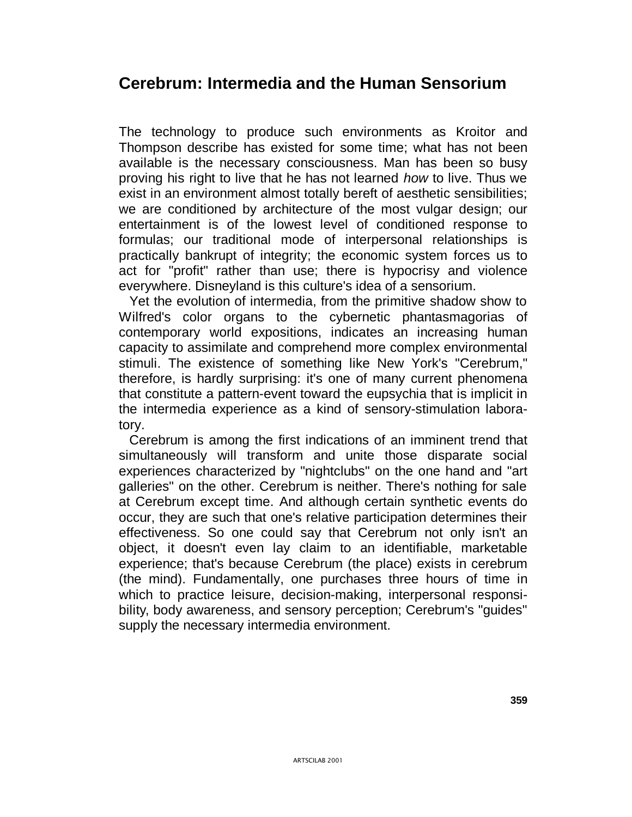# **Cerebrum: Intermedia and the Human Sensorium**

The technology to produce such environments as Kroitor and Thompson describe has existed for some time; what has not been available is the necessary consciousness. Man has been so busy proving his right to live that he has not learned *how* to live. Thus we exist in an environment almost totally bereft of aesthetic sensibilities; we are conditioned by architecture of the most vulgar design; our entertainment is of the lowest level of conditioned response to formulas; our traditional mode of interpersonal relationships is practically bankrupt of integrity; the economic system forces us to act for "profit" rather than use; there is hypocrisy and violence everywhere. Disneyland is this culture's idea of a sensorium.

Yet the evolution of intermedia, from the primitive shadow show to Wilfred's color organs to the cybernetic phantasmagorias of contemporary world expositions, indicates an increasing human capacity to assimilate and comprehend more complex environmental stimuli. The existence of something like New York's "Cerebrum," therefore, is hardly surprising: it's one of many current phenomena that constitute a pattern-event toward the eupsychia that is implicit in the intermedia experience as a kind of sensory-stimulation laboratory.

Cerebrum is among the first indications of an imminent trend that simultaneously will transform and unite those disparate social experiences characterized by "nightclubs" on the one hand and "art galleries" on the other. Cerebrum is neither. There's nothing for sale at Cerebrum except time. And although certain synthetic events do occur, they are such that one's relative participation determines their effectiveness. So one could say that Cerebrum not only isn't an object, it doesn't even lay claim to an identifiable, marketable experience; that's because Cerebrum (the place) exists in cerebrum (the mind). Fundamentally, one purchases three hours of time in which to practice leisure, decision-making, interpersonal responsibility, body awareness, and sensory perception; Cerebrum's "guides" supply the necessary intermedia environment.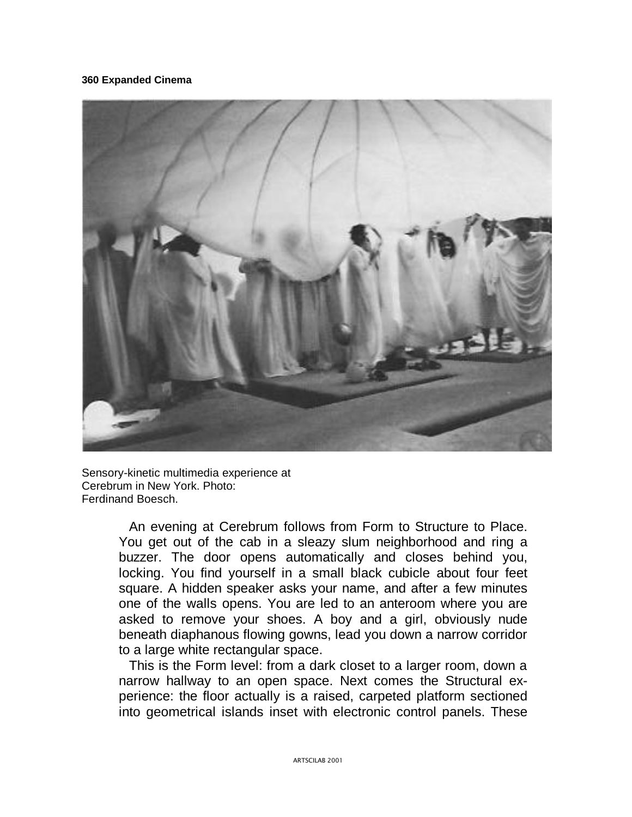

Sensory-kinetic multimedia experience at Cerebrum in New York. Photo: Ferdinand Boesch.

> An evening at Cerebrum follows from Form to Structure to Place. You get out of the cab in a sleazy slum neighborhood and ring a buzzer. The door opens automatically and closes behind you, locking. You find yourself in a small black cubicle about four feet square. A hidden speaker asks your name, and after a few minutes one of the walls opens. You are led to an anteroom where you are asked to remove your shoes. A boy and a girl, obviously nude beneath diaphanous flowing gowns, lead you down a narrow corridor to a large white rectangular space.

> This is the Form level: from a dark closet to a larger room, down a narrow hallway to an open space. Next comes the Structural experience: the floor actually is a raised, carpeted platform sectioned into geometrical islands inset with electronic control panels. These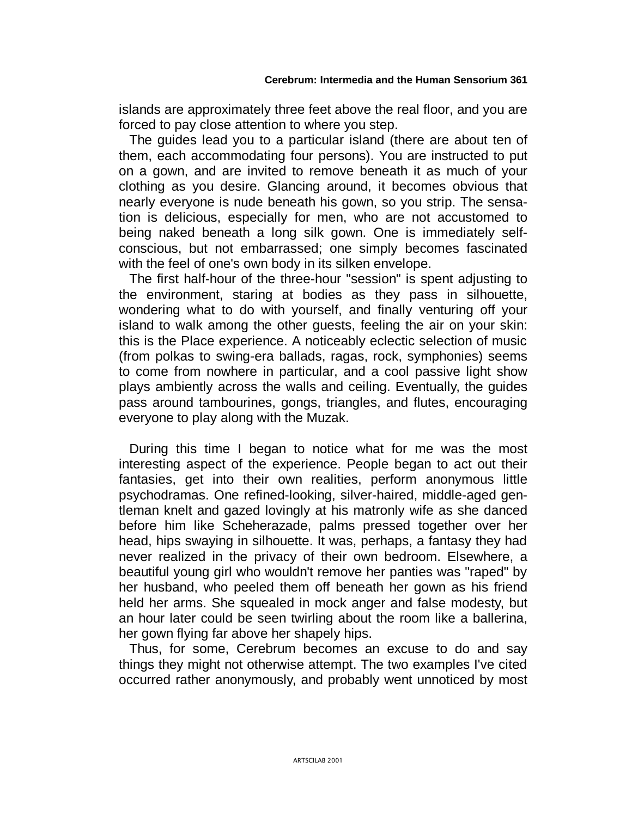islands are approximately three feet above the real floor, and you are forced to pay close attention to where you step.

The guides lead you to a particular island (there are about ten of them, each accommodating four persons). You are instructed to put on a gown, and are invited to remove beneath it as much of your clothing as you desire. Glancing around, it becomes obvious that nearly everyone is nude beneath his gown, so you strip. The sensation is delicious, especially for men, who are not accustomed to being naked beneath a long silk gown. One is immediately selfconscious, but not embarrassed; one simply becomes fascinated with the feel of one's own body in its silken envelope.

The first half-hour of the three-hour "session" is spent adjusting to the environment, staring at bodies as they pass in silhouette, wondering what to do with yourself, and finally venturing off your island to walk among the other guests, feeling the air on your skin: this is the Place experience. A noticeably eclectic selection of music (from polkas to swing-era ballads, ragas, rock, symphonies) seems to come from nowhere in particular, and a cool passive light show plays ambiently across the walls and ceiling. Eventually, the guides pass around tambourines, gongs, triangles, and flutes, encouraging everyone to play along with the Muzak.

During this time I began to notice what for me was the most interesting aspect of the experience. People began to act out their fantasies, get into their own realities, perform anonymous little psychodramas. One refined-looking, silver-haired, middle-aged gentleman knelt and gazed lovingly at his matronly wife as she danced before him like Scheherazade, palms pressed together over her head, hips swaying in silhouette. It was, perhaps, a fantasy they had never realized in the privacy of their own bedroom. Elsewhere, a beautiful young girl who wouldn't remove her panties was "raped" by her husband, who peeled them off beneath her gown as his friend held her arms. She squealed in mock anger and false modesty, but an hour later could be seen twirling about the room like a ballerina, her gown flying far above her shapely hips.

Thus, for some, Cerebrum becomes an excuse to do and say things they might not otherwise attempt. The two examples I've cited occurred rather anonymously, and probably went unnoticed by most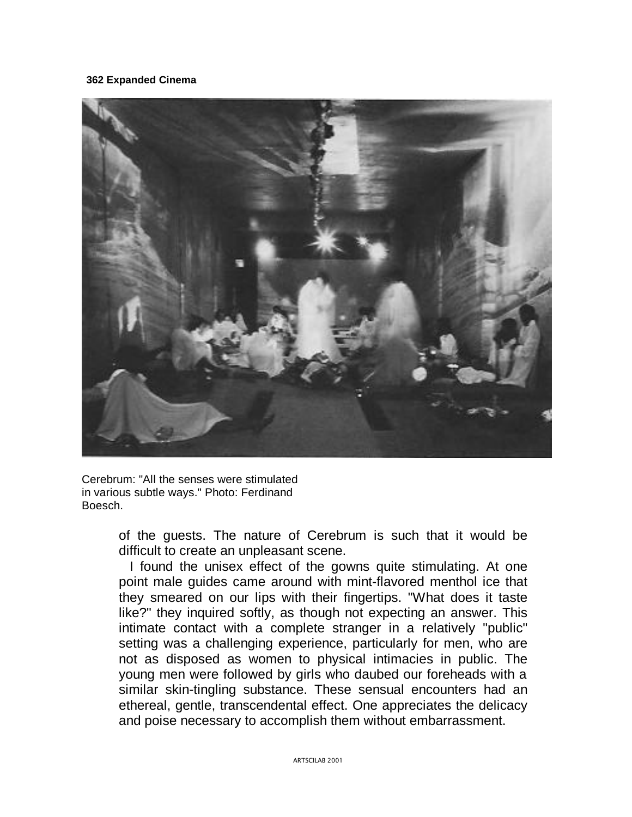

Cerebrum: "All the senses were stimulated in various subtle ways." Photo: Ferdinand Boesch.

> of the guests. The nature of Cerebrum is such that it would be difficult to create an unpleasant scene.

> I found the unisex effect of the gowns quite stimulating. At one point male guides came around with mint-flavored menthol ice that they smeared on our lips with their fingertips. "What does it taste like?" they inquired softly, as though not expecting an answer. This intimate contact with a complete stranger in a relatively "public" setting was a challenging experience, particularly for men, who are not as disposed as women to physical intimacies in public. The young men were followed by girls who daubed our foreheads with a similar skin-tingling substance. These sensual encounters had an ethereal, gentle, transcendental effect. One appreciates the delicacy and poise necessary to accomplish them without embarrassment.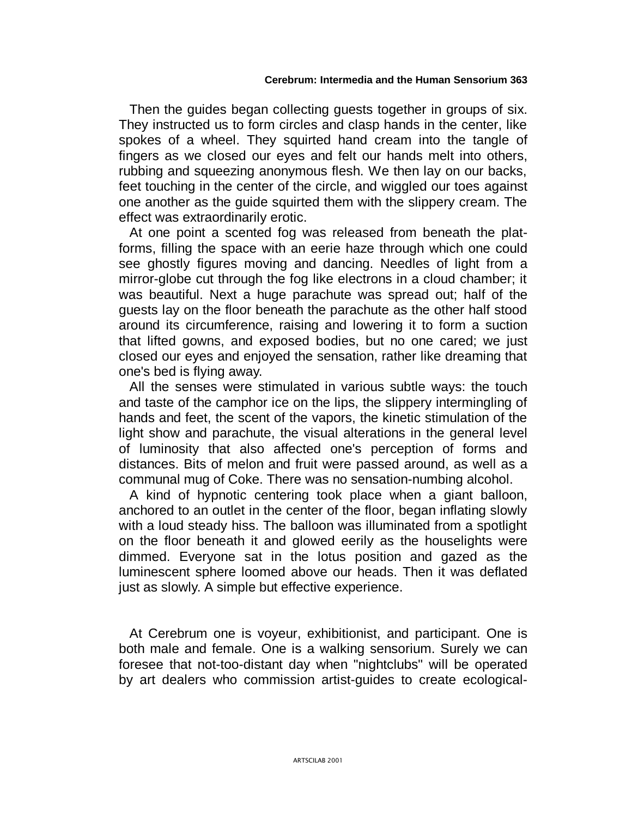Then the guides began collecting guests together in groups of six. They instructed us to form circles and clasp hands in the center, like spokes of a wheel. They squirted hand cream into the tangle of fingers as we closed our eyes and felt our hands melt into others, rubbing and squeezing anonymous flesh. We then lay on our backs, feet touching in the center of the circle, and wiggled our toes against one another as the guide squirted them with the slippery cream. The effect was extraordinarily erotic.

At one point a scented fog was released from beneath the platforms, filling the space with an eerie haze through which one could see ghostly figures moving and dancing. Needles of light from a mirror-globe cut through the fog like electrons in a cloud chamber; it was beautiful. Next a huge parachute was spread out; half of the guests lay on the floor beneath the parachute as the other half stood around its circumference, raising and lowering it to form a suction that lifted gowns, and exposed bodies, but no one cared; we just closed our eyes and enjoyed the sensation, rather like dreaming that one's bed is flying away.

All the senses were stimulated in various subtle ways: the touch and taste of the camphor ice on the lips, the slippery intermingling of hands and feet, the scent of the vapors, the kinetic stimulation of the light show and parachute, the visual alterations in the general level of luminosity that also affected one's perception of forms and distances. Bits of melon and fruit were passed around, as well as a communal mug of Coke. There was no sensation-numbing alcohol.

A kind of hypnotic centering took place when a giant balloon, anchored to an outlet in the center of the floor, began inflating slowly with a loud steady hiss. The balloon was illuminated from a spotlight on the floor beneath it and glowed eerily as the houselights were dimmed. Everyone sat in the lotus position and gazed as the luminescent sphere loomed above our heads. Then it was deflated just as slowly. A simple but effective experience.

At Cerebrum one is voyeur, exhibitionist, and participant. One is both male and female. One is a walking sensorium. Surely we can foresee that not-too-distant day when "nightclubs" will be operated by art dealers who commission artist-guides to create ecological-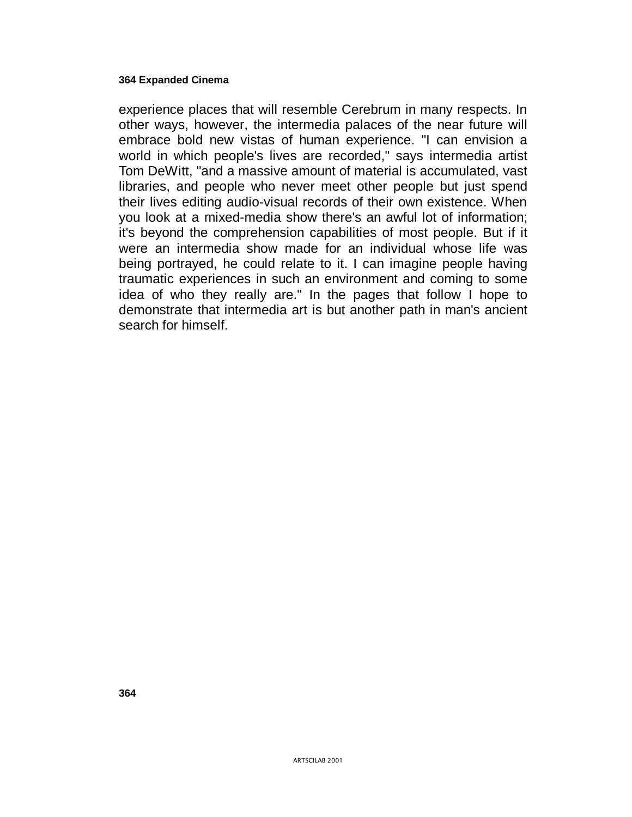experience places that will resemble Cerebrum in many respects. In other ways, however, the intermedia palaces of the near future will embrace bold new vistas of human experience. "I can envision a world in which people's lives are recorded," says intermedia artist Tom DeWitt, "and a massive amount of material is accumulated, vast libraries, and people who never meet other people but just spend their lives editing audio-visual records of their own existence. When you look at a mixed-media show there's an awful lot of information; it's beyond the comprehension capabilities of most people. But if it were an intermedia show made for an individual whose life was being portrayed, he could relate to it. I can imagine people having traumatic experiences in such an environment and coming to some idea of who they really are." In the pages that follow I hope to demonstrate that intermedia art is but another path in man's ancient search for himself.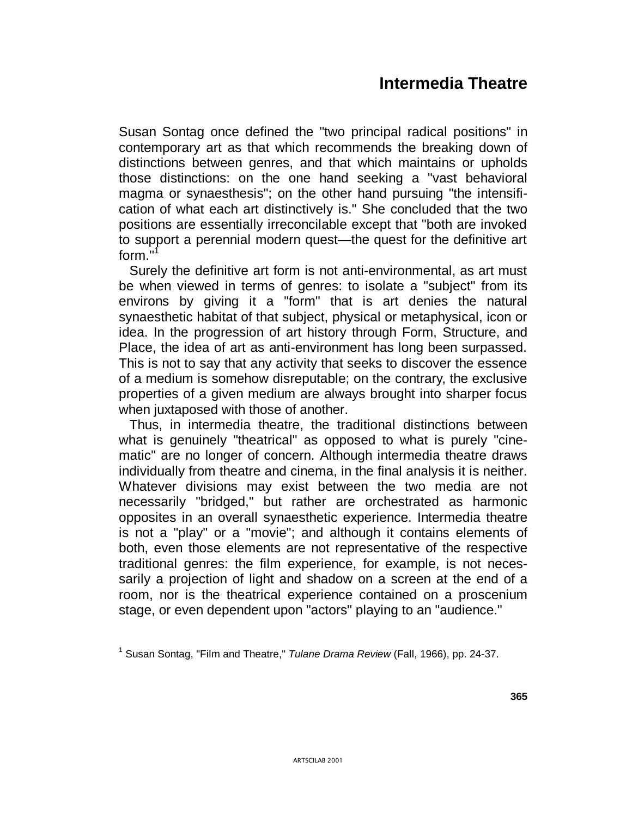# **Intermedia Theatre**

Susan Sontag once defined the "two principal radical positions" in contemporary art as that which recommends the breaking down of distinctions between genres, and that which maintains or upholds those distinctions: on the one hand seeking a "vast behavioral magma or synaesthesis"; on the other hand pursuing "the intensification of what each art distinctively is." She concluded that the two positions are essentially irreconcilable except that "both are invoked to support a perennial modern quest— the quest for the definitive art form."<sup>1</sup>

Surely the definitive art form is not anti-environmental, as art must be when viewed in terms of genres: to isolate a "subject" from its environs by giving it a "form" that is art denies the natural synaesthetic habitat of that subject, physical or metaphysical, icon or idea. In the progression of art history through Form, Structure, and Place, the idea of art as anti-environment has long been surpassed. This is not to say that any activity that seeks to discover the essence of a medium is somehow disreputable; on the contrary, the exclusive properties of a given medium are always brought into sharper focus when juxtaposed with those of another.

Thus, in intermedia theatre, the traditional distinctions between what is genuinely "theatrical" as opposed to what is purely "cinematic" are no longer of concern. Although intermedia theatre draws individually from theatre and cinema, in the final analysis it is neither. Whatever divisions may exist between the two media are not necessarily "bridged," but rather are orchestrated as harmonic opposites in an overall synaesthetic experience. Intermedia theatre is not a "play" or a "movie"; and although it contains elements of both, even those elements are not representative of the respective traditional genres: the film experience, for example, is not necessarily a projection of light and shadow on a screen at the end of a room, nor is the theatrical experience contained on a proscenium stage, or even dependent upon "actors" playing to an "audience."

<sup>&</sup>lt;sup>1</sup> Susan Sontag, "Film and Theatre," *Tulane Drama Review* (Fall, 1966), pp. 24-37.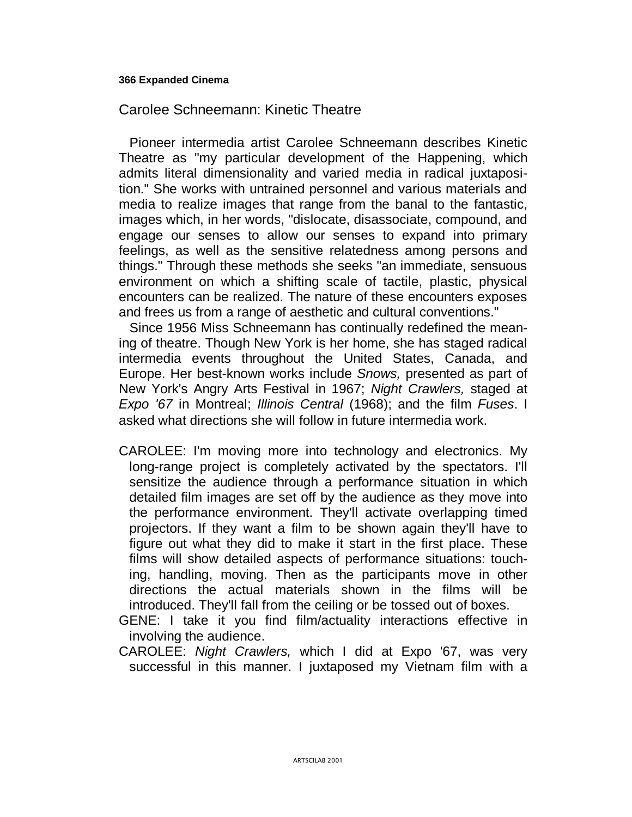## Carolee Schneemann: Kinetic Theatre

Pioneer intermedia artist Carolee Schneemann describes Kinetic Theatre as "my particular development of the Happening, which admits literal dimensionality and varied media in radical juxtaposition." She works with untrained personnel and various materials and media to realize images that range from the banal to the fantastic, images which, in her words, "dislocate, disassociate, compound, and engage our senses to allow our senses to expand into primary feelings, as well as the sensitive relatedness among persons and things." Through these methods she seeks "an immediate, sensuous environment on which a shifting scale of tactile, plastic, physical encounters can be realized. The nature of these encounters exposes and frees us from a range of aesthetic and cultural conventions."

Since 1956 Miss Schneemann has continually redefined the meaning of theatre. Though New York is her home, she has staged radical intermedia events throughout the United States, Canada, and Europe. Her best-known works include *Snows,* presented as part of New York's Angry Arts Festival in 1967; *Night Crawlers,* staged at *Expo '67* in Montreal; *Illinois Central* (1968); and the film *Fuses*. I asked what directions she will follow in future intermedia work.

- CAROLEE: I'm moving more into technology and electronics. My long-range project is completely activated by the spectators. I'll sensitize the audience through a performance situation in which detailed film images are set off by the audience as they move into the performance environment. They'll activate overlapping timed projectors. If they want a film to be shown again they'll have to figure out what they did to make it start in the first place. These films will show detailed aspects of performance situations: touching, handling, moving. Then as the participants move in other directions the actual materials shown in the films will be introduced. They'll fall from the ceiling or be tossed out of boxes.
- GENE: I take it you find film/actuality interactions effective in involving the audience.
- CAROLEE: *Night Crawlers,* which I did at Expo '67, was very successful in this manner. I juxtaposed my Vietnam film with a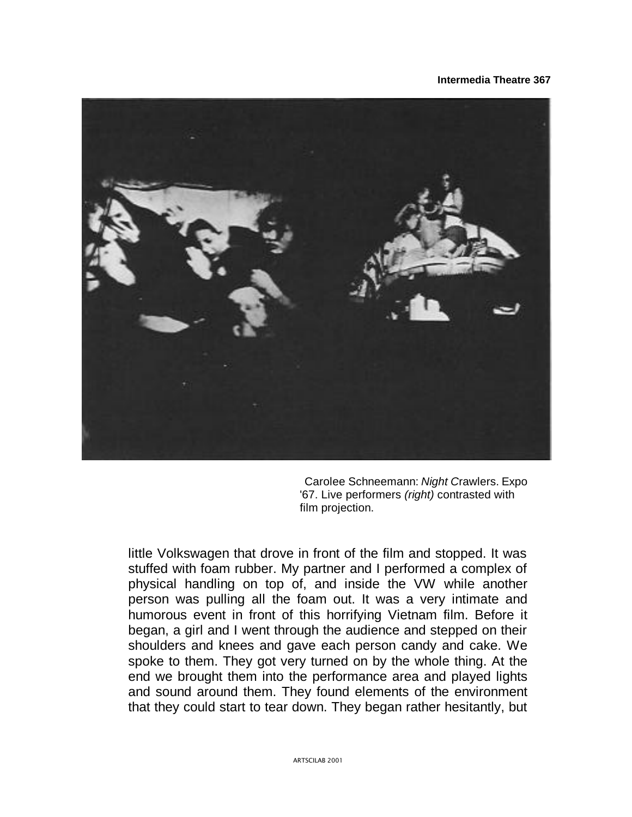#### **Intermedia Theatre 367**



Carolee Schneemann: *Night C*rawlers. Expo '67. Live performers *(right)* contrasted with film projection.

little Volkswagen that drove in front of the film and stopped. It was stuffed with foam rubber. My partner and I performed a complex of physical handling on top of, and inside the VW while another person was pulling all the foam out. It was a very intimate and humorous event in front of this horrifying Vietnam film. Before it began, a girl and I went through the audience and stepped on their shoulders and knees and gave each person candy and cake. We spoke to them. They got very turned on by the whole thing. At the end we brought them into the performance area and played lights and sound around them. They found elements of the environment that they could start to tear down. They began rather hesitantly, but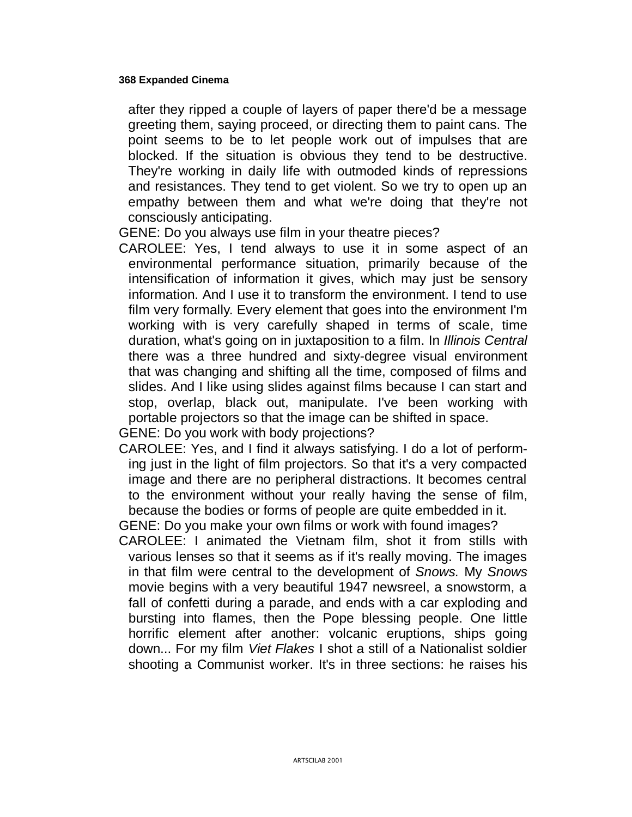after they ripped a couple of layers of paper there'd be a message greeting them, saying proceed, or directing them to paint cans. The point seems to be to let people work out of impulses that are blocked. If the situation is obvious they tend to be destructive. They're working in daily life with outmoded kinds of repressions and resistances. They tend to get violent. So we try to open up an empathy between them and what we're doing that they're not consciously anticipating.

## GENE: Do you always use film in your theatre pieces?

CAROLEE: Yes, I tend always to use it in some aspect of an environmental performance situation, primarily because of the intensification of information it gives, which may just be sensory information. And I use it to transform the environment. I tend to use film very formally. Every element that goes into the environment I'm working with is very carefully shaped in terms of scale, time duration, what's going on in juxtaposition to a film. In *Illinois Central*  there was a three hundred and sixty-degree visual environment that was changing and shifting all the time, composed of films and slides. And I like using slides against films because I can start and stop, overlap, black out, manipulate. I've been working with portable projectors so that the image can be shifted in space.

GENE: Do you work with body projections?

- CAROLEE: Yes, and I find it always satisfying. I do a lot of performing just in the light of film projectors. So that it's a very compacted image and there are no peripheral distractions. It becomes central to the environment without your really having the sense of film, because the bodies or forms of people are quite embedded in it. GENE: Do you make your own films or work with found images?
- CAROLEE: I animated the Vietnam film, shot it from stills with various lenses so that it seems as if it's really moving. The images in that film were central to the development of *Snows.* My *Snows* movie begins with a very beautiful 1947 newsreel, a snowstorm, a fall of confetti during a parade, and ends with a car exploding and bursting into flames, then the Pope blessing people. One little horrific element after another: volcanic eruptions, ships going down... For my film *Viet Flakes* I shot a still of a Nationalist soldier shooting a Communist worker. It's in three sections: he raises his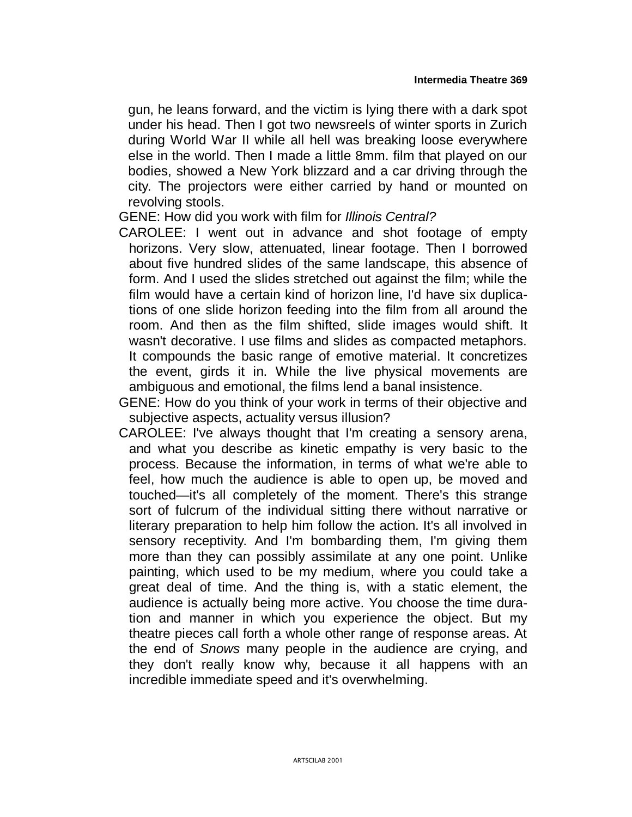gun, he leans forward, and the victim is lying there with a dark spot under his head. Then I got two newsreels of winter sports in Zurich during World War II while all hell was breaking loose everywhere else in the world. Then I made a little 8mm. film that played on our bodies, showed a New York blizzard and a car driving through the city. The projectors were either carried by hand or mounted on revolving stools.

GENE: How did you work with film for *Illinois Central?*

- CAROLEE: I went out in advance and shot footage of empty horizons. Very slow, attenuated, linear footage. Then I borrowed about five hundred slides of the same landscape, this absence of form. And I used the slides stretched out against the film; while the film would have a certain kind of horizon line, I'd have six duplications of one slide horizon feeding into the film from all around the room. And then as the film shifted, slide images would shift. It wasn't decorative. I use films and slides as compacted metaphors. It compounds the basic range of emotive material. It concretizes the event, girds it in. While the live physical movements are ambiguous and emotional, the films lend a banal insistence.
- GENE: How do you think of your work in terms of their objective and subjective aspects, actuality versus illusion?
- CAROLEE: I've always thought that I'm creating a sensory arena, and what you describe as kinetic empathy is very basic to the process. Because the information, in terms of what we're able to feel, how much the audience is able to open up, be moved and touched— it's all completely of the moment. There's this strange sort of fulcrum of the individual sitting there without narrative or literary preparation to help him follow the action. It's all involved in sensory receptivity. And I'm bombarding them, I'm giving them more than they can possibly assimilate at any one point. Unlike painting, which used to be my medium, where you could take a great deal of time. And the thing is, with a static element, the audience is actually being more active. You choose the time duration and manner in which you experience the object. But my theatre pieces call forth a whole other range of response areas. At the end of *Snows* many people in the audience are crying, and they don't really know why, because it all happens with an incredible immediate speed and it's overwhelming.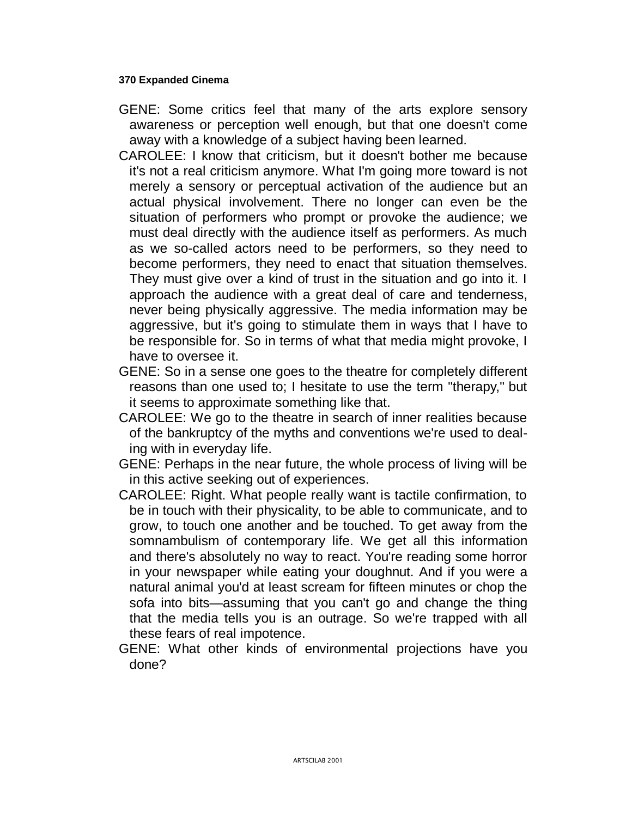- GENE: Some critics feel that many of the arts explore sensory awareness or perception well enough, but that one doesn't come away with a knowledge of a subject having been learned.
- CAROLEE: I know that criticism, but it doesn't bother me because it's not a real criticism anymore. What I'm going more toward is not merely a sensory or perceptual activation of the audience but an actual physical involvement. There no longer can even be the situation of performers who prompt or provoke the audience; we must deal directly with the audience itself as performers. As much as we so-called actors need to be performers, so they need to become performers, they need to enact that situation themselves. They must give over a kind of trust in the situation and go into it. I approach the audience with a great deal of care and tenderness, never being physically aggressive. The media information may be aggressive, but it's going to stimulate them in ways that I have to be responsible for. So in terms of what that media might provoke, I have to oversee it.
- GENE: So in a sense one goes to the theatre for completely different reasons than one used to; I hesitate to use the term "therapy," but it seems to approximate something like that.
- CAROLEE: We go to the theatre in search of inner realities because of the bankruptcy of the myths and conventions we're used to dealing with in everyday life.
- GENE: Perhaps in the near future, the whole process of living will be in this active seeking out of experiences.
- CAROLEE: Right. What people really want is tactile confirmation, to be in touch with their physicality, to be able to communicate, and to grow, to touch one another and be touched. To get away from the somnambulism of contemporary life. We get all this information and there's absolutely no way to react. You're reading some horror in your newspaper while eating your doughnut. And if you were a natural animal you'd at least scream for fifteen minutes or chop the sofa into bits— assuming that you can't go and change the thing that the media tells you is an outrage. So we're trapped with all these fears of real impotence.
- GENE: What other kinds of environmental projections have you done?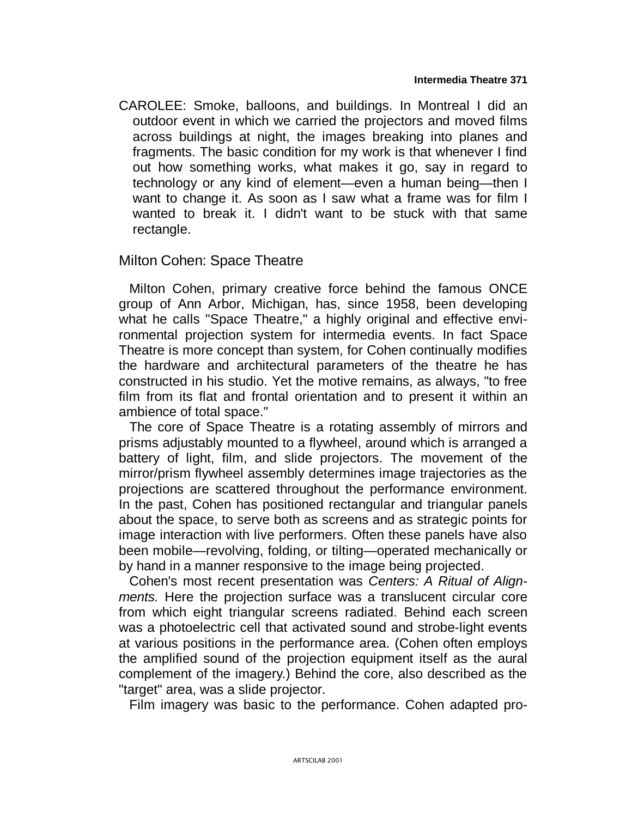CAROLEE: Smoke, balloons, and buildings. In Montreal I did an outdoor event in which we carried the projectors and moved films across buildings at night, the images breaking into planes and fragments. The basic condition for my work is that whenever I find out how something works, what makes it go, say in regard to technology or any kind of element— even a human being— then I want to change it. As soon as I saw what a frame was for film I wanted to break it. I didn't want to be stuck with that same rectangle.

# Milton Cohen: Space Theatre

Milton Cohen, primary creative force behind the famous ONCE group of Ann Arbor, Michigan, has, since 1958, been developing what he calls "Space Theatre," a highly original and effective environmental projection system for intermedia events. In fact Space Theatre is more concept than system, for Cohen continually modifies the hardware and architectural parameters of the theatre he has constructed in his studio. Yet the motive remains, as always, "to free film from its flat and frontal orientation and to present it within an ambience of total space."

The core of Space Theatre is a rotating assembly of mirrors and prisms adjustably mounted to a flywheel, around which is arranged a battery of light, film, and slide projectors. The movement of the mirror/prism flywheel assembly determines image trajectories as the projections are scattered throughout the performance environment. In the past, Cohen has positioned rectangular and triangular panels about the space, to serve both as screens and as strategic points for image interaction with live performers. Often these panels have also been mobile— revolving, folding, or tilting— operated mechanically or by hand in a manner responsive to the image being projected.

Cohen's most recent presentation was *Centers: A Ritual of Alignments.* Here the projection surface was a translucent circular core from which eight triangular screens radiated. Behind each screen was a photoelectric cell that activated sound and strobe-light events at various positions in the performance area. (Cohen often employs the amplified sound of the projection equipment itself as the aural complement of the imagery.) Behind the core, also described as the "target" area, was a slide projector.

Film imagery was basic to the performance. Cohen adapted pro-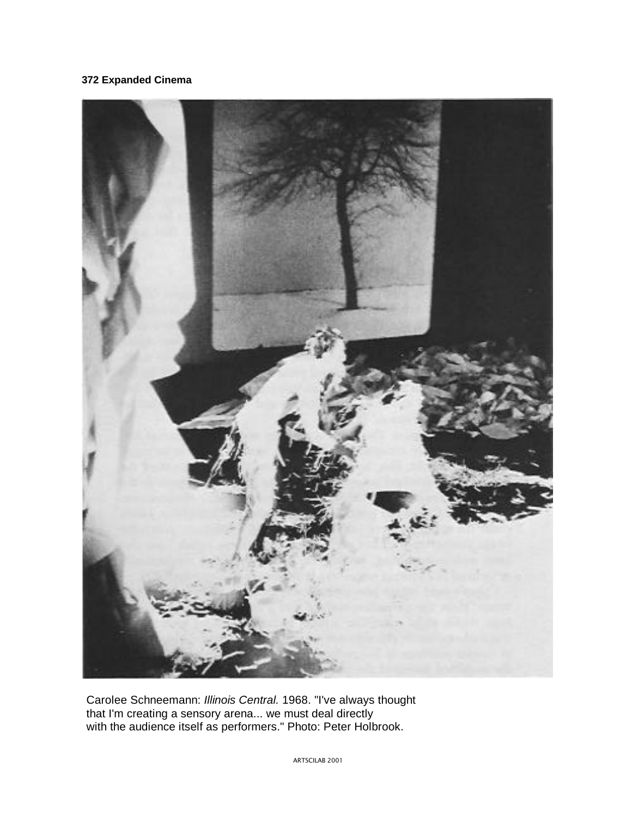

Carolee Schneemann: *Illinois Central.* 1968. "I've always thought that I'm creating a sensory arena... we must deal directly with the audience itself as performers." Photo: Peter Holbrook.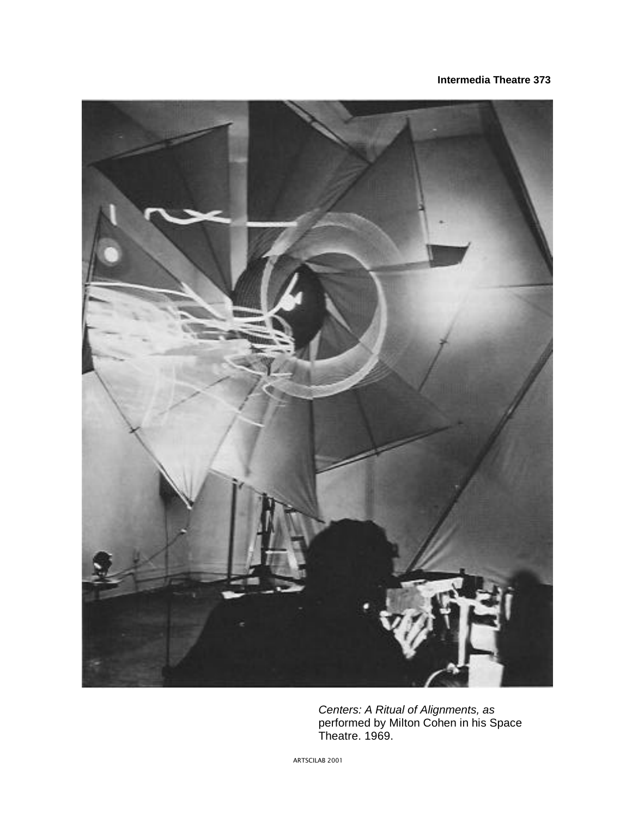## **Intermedia Theatre 373**



*Centers: A Ritual of Alignments, as* performed by Milton Cohen in his Space Theatre. 1969.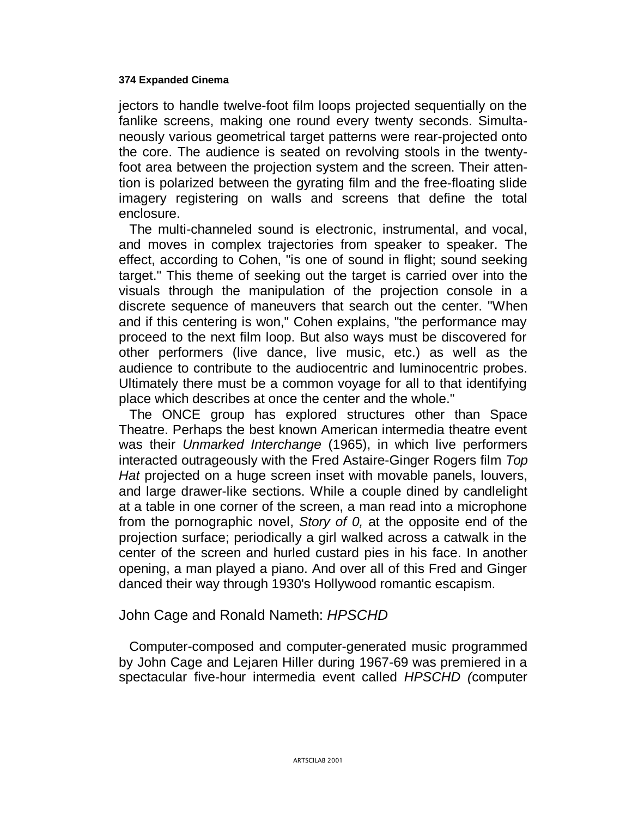jectors to handle twelve-foot film loops projected sequentially on the fanlike screens, making one round every twenty seconds. Simultaneously various geometrical target patterns were rear-projected onto the core. The audience is seated on revolving stools in the twentyfoot area between the projection system and the screen. Their attention is polarized between the gyrating film and the free-floating slide imagery registering on walls and screens that define the total enclosure.

The multi-channeled sound is electronic, instrumental, and vocal, and moves in complex trajectories from speaker to speaker. The effect, according to Cohen, "is one of sound in flight; sound seeking target." This theme of seeking out the target is carried over into the visuals through the manipulation of the projection console in a discrete sequence of maneuvers that search out the center. "When and if this centering is won," Cohen explains, "the performance may proceed to the next film loop. But also ways must be discovered for other performers (live dance, live music, etc.) as well as the audience to contribute to the audiocentric and luminocentric probes. Ultimately there must be a common voyage for all to that identifying place which describes at once the center and the whole."

The ONCE group has explored structures other than Space Theatre. Perhaps the best known American intermedia theatre event was their *Unmarked Interchange* (1965), in which live performers interacted outrageously with the Fred Astaire-Ginger Rogers film *Top*  Hat projected on a huge screen inset with movable panels, louvers, and large drawer-like sections. While a couple dined by candlelight at a table in one corner of the screen, a man read into a microphone from the pornographic novel, *Story of 0,* at the opposite end of the projection surface; periodically a girl walked across a catwalk in the center of the screen and hurled custard pies in his face. In another opening, a man played a piano. And over all of this Fred and Ginger danced their way through 1930's Hollywood romantic escapism.

## John Cage and Ronald Nameth: *HPSCHD*

Computer-composed and computer-generated music programmed by John Cage and Lejaren Hiller during 1967-69 was premiered in a spectacular five-hour intermedia event called *HPSCHD (*computer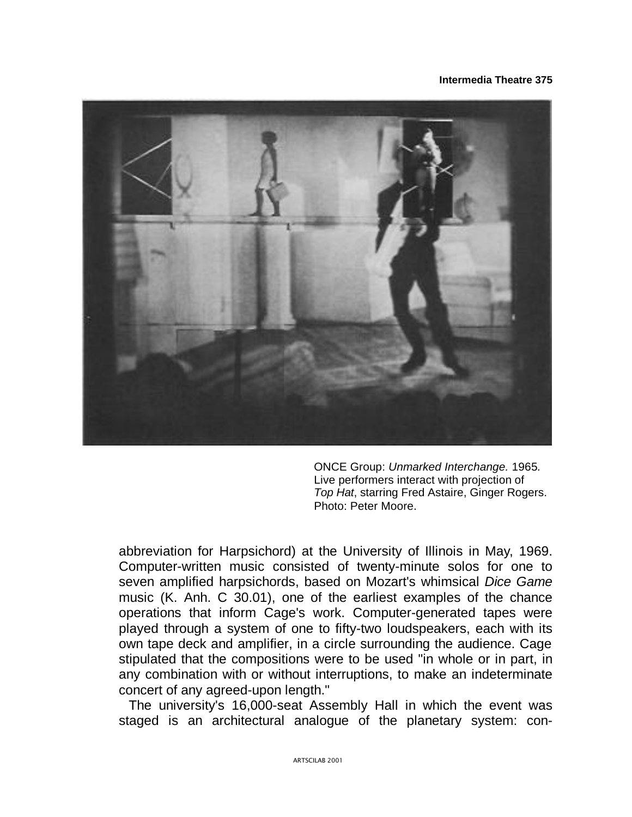## **Intermedia Theatre 375**



ONCE Group: *Unmarked Interchange.* 1965*.* Live performers interact with projection of *Top Hat*, starring Fred Astaire, Ginger Rogers. Photo: Peter Moore.

abbreviation for Harpsichord) at the University of Illinois in May, 1969. Computer-written music consisted of twenty-minute solos for one to seven amplified harpsichords, based on Mozart's whimsical *Dice Game* music (K. Anh. C 30.01), one of the earliest examples of the chance operations that inform Cage's work. Computer-generated tapes were played through a system of one to fifty-two loudspeakers, each with its own tape deck and amplifier, in a circle surrounding the audience. Cage stipulated that the compositions were to be used "in whole or in part, in any combination with or without interruptions, to make an indeterminate concert of any agreed-upon length."

The university's 16,000-seat Assembly Hall in which the event was staged is an architectural analogue of the planetary system: con-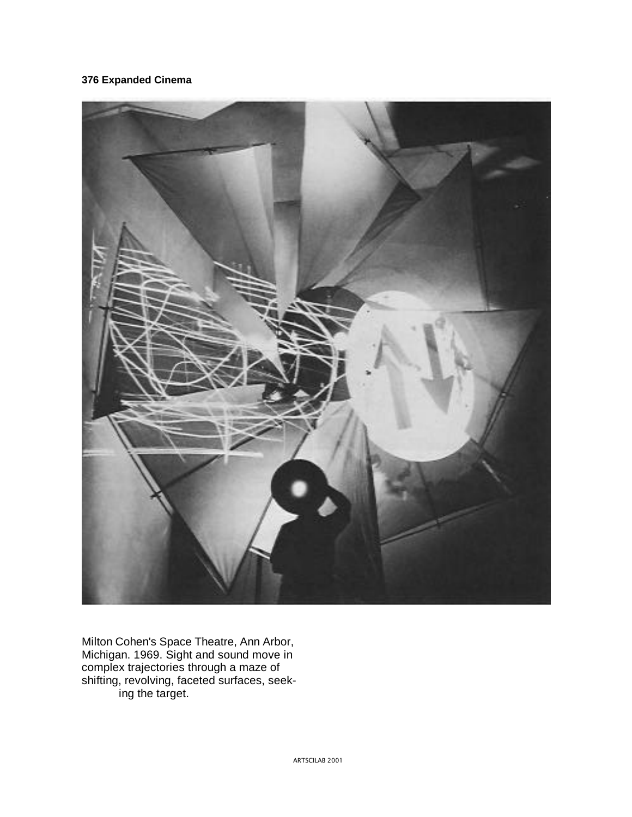

Milton Cohen's Space Theatre, Ann Arbor, Michigan. 1969. Sight and sound move in complex trajectories through a maze of shifting, revolving, faceted surfaces, seeking the target.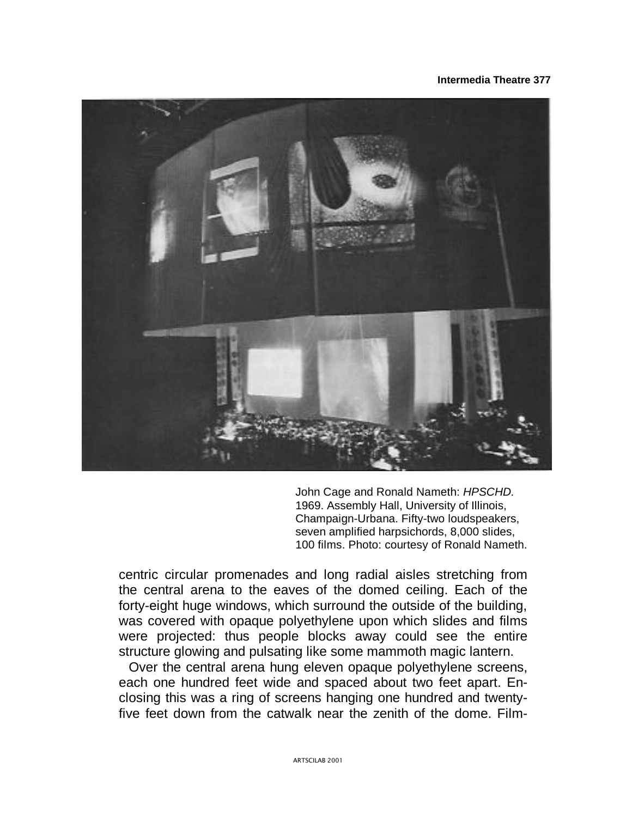#### **Intermedia Theatre 377**



John Cage and Ronald Nameth: *HPSCHD.* 1969. Assembly Hall, University of Illinois, Champaign-Urbana. Fifty-two loudspeakers, seven amplified harpsichords, 8,000 slides, 100 films. Photo: courtesy of Ronald Nameth.

centric circular promenades and long radial aisles stretching from the central arena to the eaves of the domed ceiling. Each of the forty-eight huge windows, which surround the outside of the building, was covered with opaque polyethylene upon which slides and films were projected: thus people blocks away could see the entire structure glowing and pulsating like some mammoth magic lantern.

Over the central arena hung eleven opaque polyethylene screens, each one hundred feet wide and spaced about two feet apart. Enclosing this was a ring of screens hanging one hundred and twentyfive feet down from the catwalk near the zenith of the dome. Film-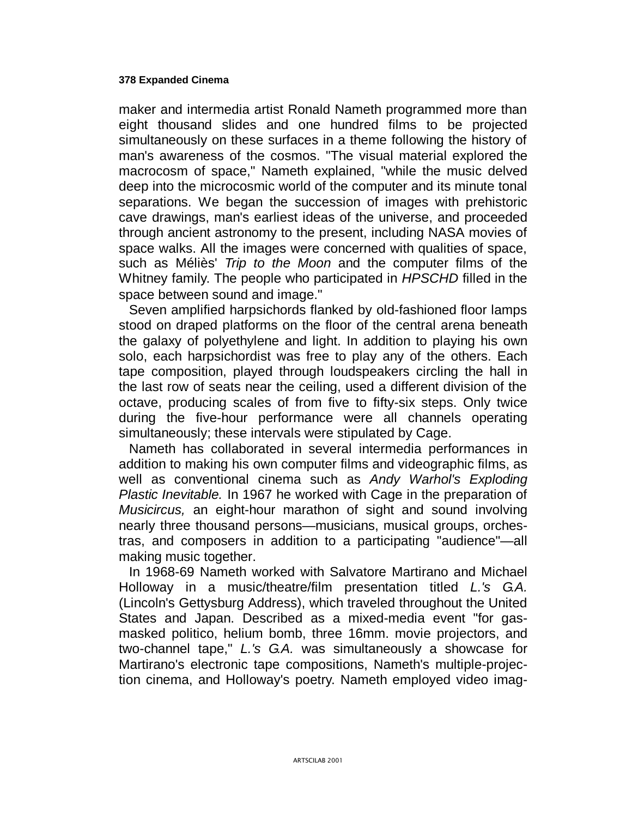maker and intermedia artist Ronald Nameth programmed more than eight thousand slides and one hundred films to be projected simultaneously on these surfaces in a theme following the history of man's awareness of the cosmos. "The visual material explored the macrocosm of space," Nameth explained, "while the music delved deep into the microcosmic world of the computer and its minute tonal separations. We began the succession of images with prehistoric cave drawings, man's earliest ideas of the universe, and proceeded through ancient astronomy to the present, including NASA movies of space walks. All the images were concerned with qualities of space, such as Méliès' *Trip to the Moon* and the computer films of the Whitney family. The people who participated in *HPSCHD* filled in the space between sound and image."

Seven amplified harpsichords flanked by old-fashioned floor lamps stood on draped platforms on the floor of the central arena beneath the galaxy of polyethylene and light. In addition to playing his own solo, each harpsichordist was free to play any of the others. Each tape composition, played through loudspeakers circling the hall in the last row of seats near the ceiling, used a different division of the octave, producing scales of from five to fifty-six steps. Only twice during the five-hour performance were all channels operating simultaneously; these intervals were stipulated by Cage.

Nameth has collaborated in several intermedia performances in addition to making his own computer films and videographic films, as well as conventional cinema such as *Andy Warhol's Exploding Plastic Inevitable.* In 1967 he worked with Cage in the preparation of *Musicircus,* an eight-hour marathon of sight and sound involving nearly three thousand persons— musicians, musical groups, orchestras, and composers in addition to a participating "audience"— all making music together.

In 1968-69 Nameth worked with Salvatore Martirano and Michael Holloway in a music/theatre/film presentation titled *L.'s G.A.*  (Lincoln's Gettysburg Address), which traveled throughout the United States and Japan. Described as a mixed-media event "for gasmasked politico, helium bomb, three 16mm. movie projectors, and two-channel tape," *L.'s G.A.* was simultaneously a showcase for Martirano's electronic tape compositions, Nameth's multiple-projection cinema, and Holloway's poetry. Nameth employed video imag-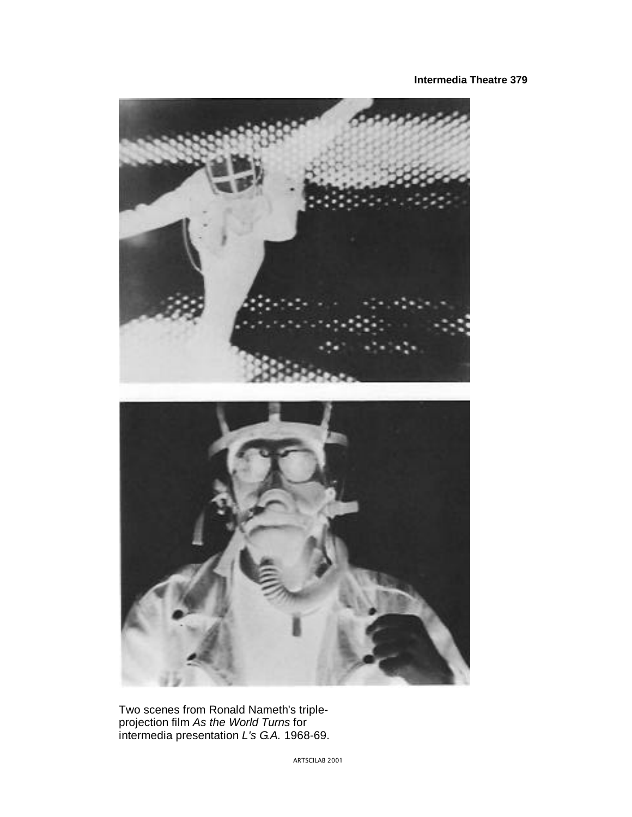## **Intermedia Theatre 379**



Two scenes from Ronald Nameth's tripleprojection film *As the World Turns* for intermedia presentation *L's G.A.* 1968-69.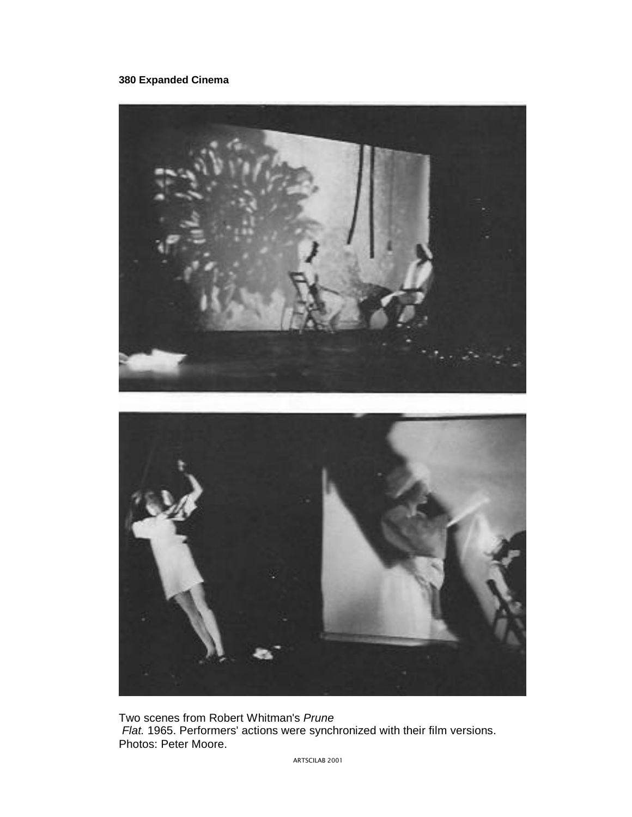

Two scenes from Robert Whitman's *Prune Flat.* 1965. Performers' actions were synchronized with their film versions. Photos: Peter Moore.

ARTSCILAB 2001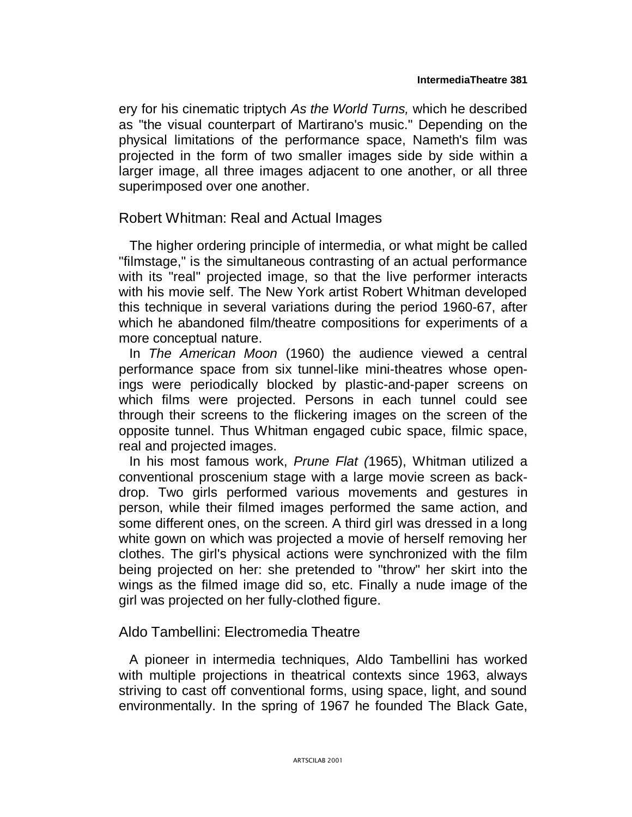ery for his cinematic triptych *As the World Turns,* which he described as "the visual counterpart of Martirano's music." Depending on the physical limitations of the performance space, Nameth's film was projected in the form of two smaller images side by side within a larger image, all three images adjacent to one another, or all three superimposed over one another.

# Robert Whitman: Real and Actual Images

The higher ordering principle of intermedia, or what might be called "filmstage," is the simultaneous contrasting of an actual performance with its "real" projected image, so that the live performer interacts with his movie self. The New York artist Robert Whitman developed this technique in several variations during the period 1960-67, after which he abandoned film/theatre compositions for experiments of a more conceptual nature.

In *The American Moon* (1960) the audience viewed a central performance space from six tunnel-like mini-theatres whose openings were periodically blocked by plastic-and-paper screens on which films were projected. Persons in each tunnel could see through their screens to the flickering images on the screen of the opposite tunnel. Thus Whitman engaged cubic space, filmic space, real and projected images.

In his most famous work, *Prune Flat (*1965), Whitman utilized a conventional proscenium stage with a large movie screen as backdrop. Two girls performed various movements and gestures in person, while their filmed images performed the same action, and some different ones, on the screen. A third girl was dressed in a long white gown on which was projected a movie of herself removing her clothes. The girl's physical actions were synchronized with the film being projected on her: she pretended to "throw" her skirt into the wings as the filmed image did so, etc. Finally a nude image of the girl was projected on her fully-clothed figure.

# Aldo Tambellini: Electromedia Theatre

A pioneer in intermedia techniques, Aldo Tambellini has worked with multiple projections in theatrical contexts since 1963, always striving to cast off conventional forms, using space, light, and sound environmentally. In the spring of 1967 he founded The Black Gate,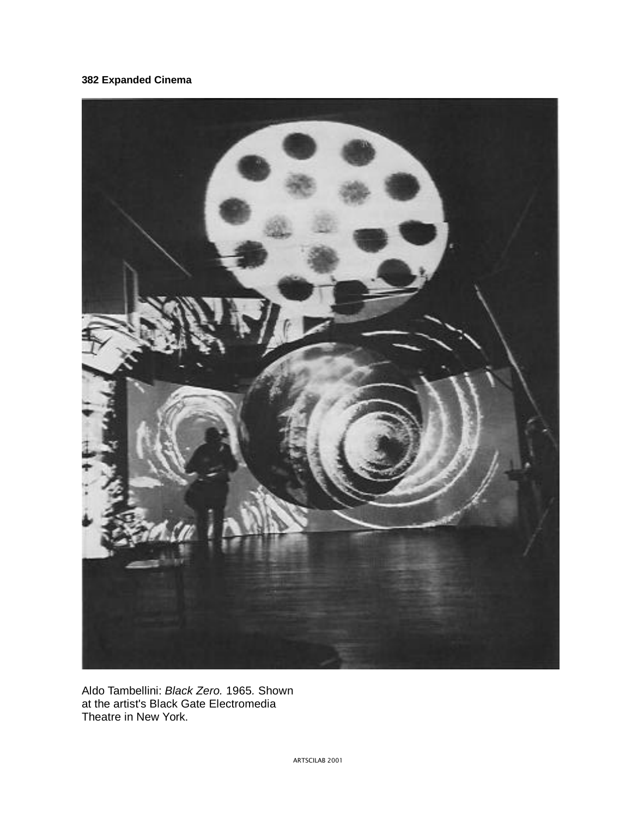

Aldo Tambellini: *Black Zero.* 1965*.* Shown at the artist's Black Gate Electromedia Theatre in New York.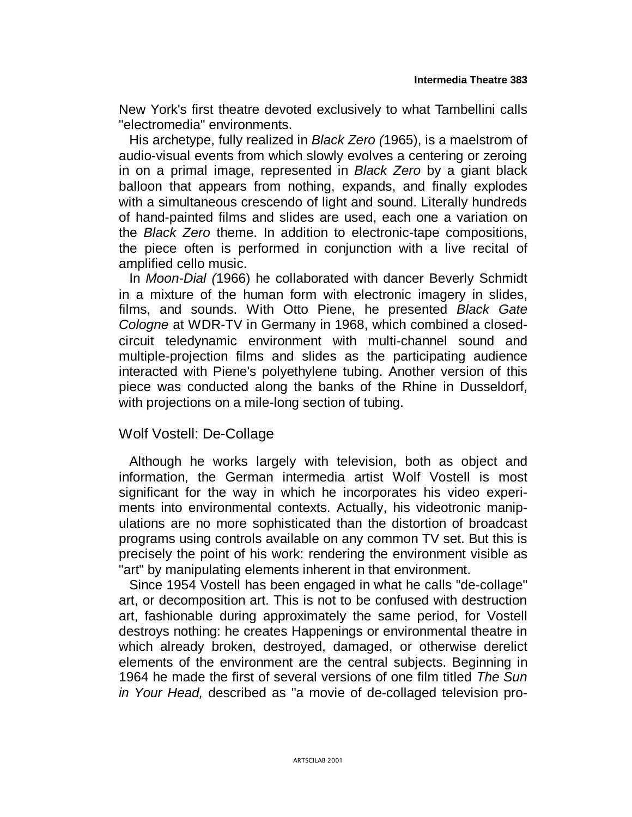New York's first theatre devoted exclusively to what Tambellini calls "electromedia" environments.

His archetype, fully realized in *Black Zero (*1965), is a maelstrom of audio-visual events from which slowly evolves a centering or zeroing in on a primal image, represented in *Black Zero* by a giant black balloon that appears from nothing, expands, and finally explodes with a simultaneous crescendo of light and sound. Literally hundreds of hand-painted films and slides are used, each one a variation on the *Black Zero* theme. In addition to electronic-tape compositions, the piece often is performed in conjunction with a live recital of amplified cello music.

In *Moon-Dial (*1966) he collaborated with dancer Beverly Schmidt in a mixture of the human form with electronic imagery in slides, films, and sounds. With Otto Piene, he presented *Black Gate Cologne* at WDR-TV in Germany in 1968, which combined a closedcircuit teledynamic environment with multi-channel sound and multiple-projection films and slides as the participating audience interacted with Piene's polyethylene tubing. Another version of this piece was conducted along the banks of the Rhine in Dusseldorf, with projections on a mile-long section of tubing.

# Wolf Vostell: De-Collage

Although he works largely with television, both as object and information, the German intermedia artist Wolf Vostell is most significant for the way in which he incorporates his video experiments into environmental contexts. Actually, his videotronic manipulations are no more sophisticated than the distortion of broadcast programs using controls available on any common TV set. But this is precisely the point of his work: rendering the environment visible as "art" by manipulating elements inherent in that environment.

Since 1954 Vostell has been engaged in what he calls "de-collage" art, or decomposition art. This is not to be confused with destruction art, fashionable during approximately the same period, for Vostell destroys nothing: he creates Happenings or environmental theatre in which already broken, destroyed, damaged, or otherwise derelict elements of the environment are the central subjects. Beginning in 1964 he made the first of several versions of one film titled *The Sun in Your Head,* described as "a movie of de-collaged television pro-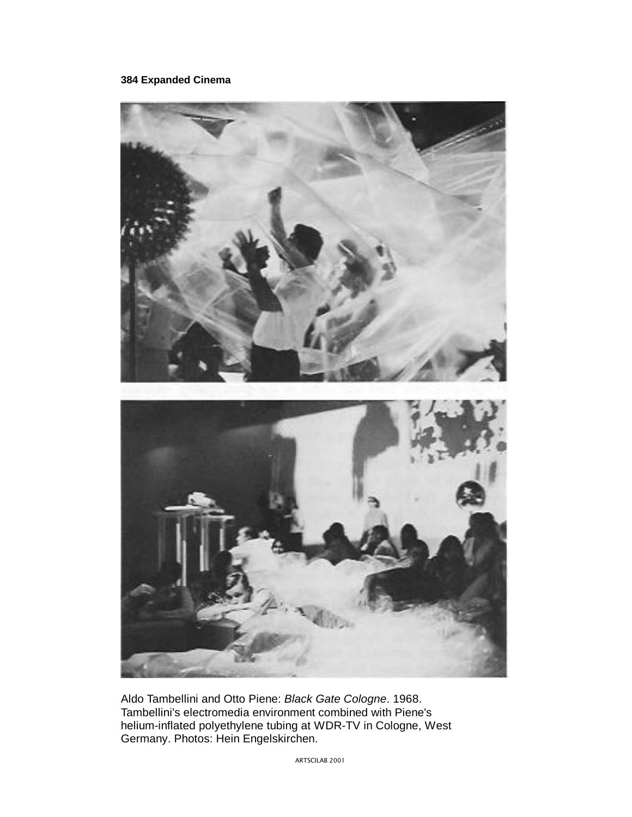

Aldo Tambellini and Otto Piene: *Black Gate Cologne*. 1968. Tambellini's electromedia environment combined with Piene's helium-inflated polyethylene tubing at WDR-TV in Cologne, West Germany. Photos: Hein Engelskirchen.

ARTSCILAB 2001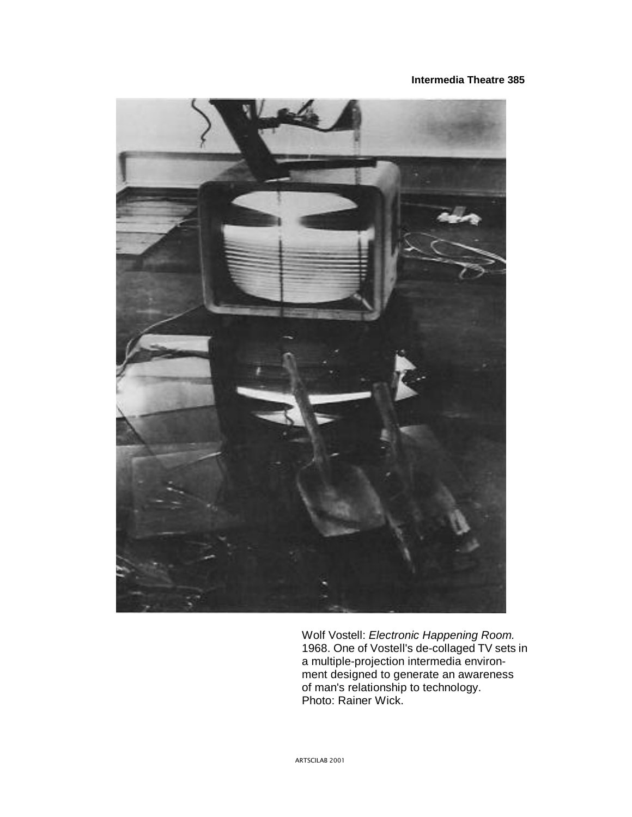## **Intermedia Theatre 385**



Wolf Vostell: *Electronic Happening Room.* 1968. One of Vostell's de-collaged TV sets in a multiple-projection intermedia environment designed to generate an awareness of man's relationship to technology. Photo: Rainer Wick.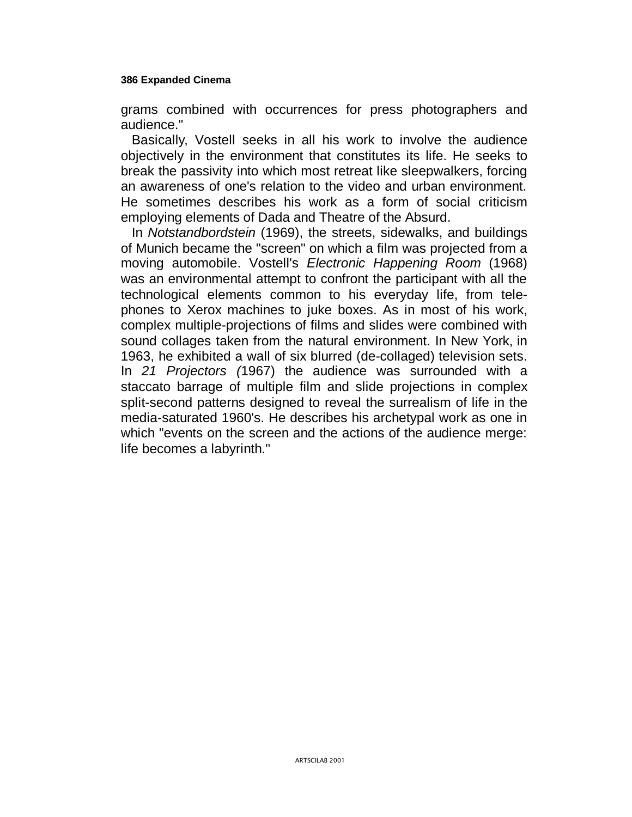grams combined with occurrences for press photographers and audience."

Basically, Vostell seeks in all his work to involve the audience objectively in the environment that constitutes its life. He seeks to break the passivity into which most retreat like sleepwalkers, forcing an awareness of one's relation to the video and urban environment. He sometimes describes his work as a form of social criticism employing elements of Dada and Theatre of the Absurd.

In *Notstandbordstein* (1969), the streets, sidewalks, and buildings of Munich became the "screen" on which a film was projected from a moving automobile. Vostell's *Electronic Happening Room* (1968) was an environmental attempt to confront the participant with all the technological elements common to his everyday life, from telephones to Xerox machines to juke boxes. As in most of his work, complex multiple-projections of films and slides were combined with sound collages taken from the natural environment. In New York, in 1963, he exhibited a wall of six blurred (de-collaged) television sets. In *21 Projectors (*1967) the audience was surrounded with a staccato barrage of multiple film and slide projections in complex split-second patterns designed to reveal the surrealism of life in the media-saturated 1960's. He describes his archetypal work as one in which "events on the screen and the actions of the audience merge: life becomes a labyrinth."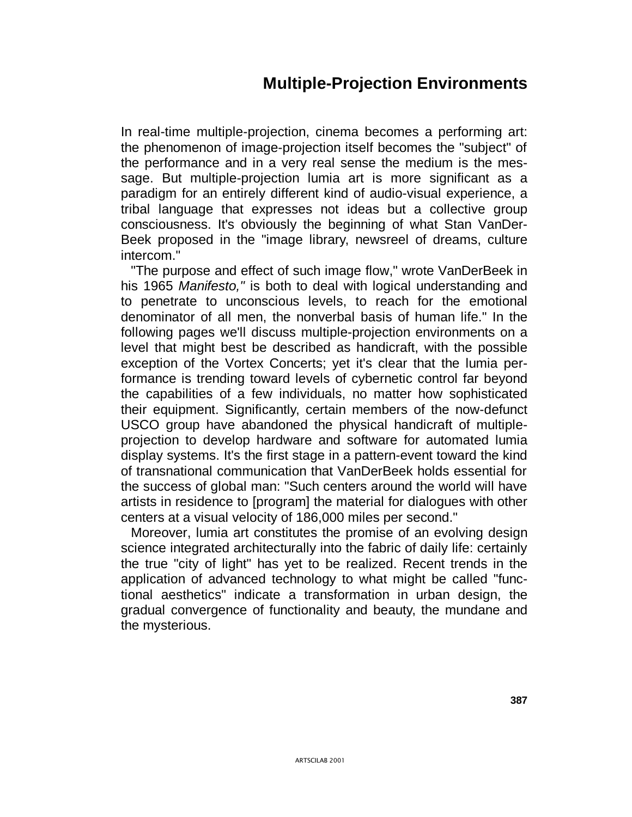# **Multiple-Projection Environments**

In real-time multiple-projection, cinema becomes a performing art: the phenomenon of image-projection itself becomes the "subject" of the performance and in a very real sense the medium is the message. But multiple-projection lumia art is more significant as a paradigm for an entirely different kind of audio-visual experience, a tribal language that expresses not ideas but a collective group consciousness. It's obviously the beginning of what Stan VanDer-Beek proposed in the "image library, newsreel of dreams, culture intercom."

"The purpose and effect of such image flow," wrote VanDerBeek in his 1965 *Manifesto,"* is both to deal with logical understanding and to penetrate to unconscious levels, to reach for the emotional denominator of all men, the nonverbal basis of human life." In the following pages we'll discuss multiple-projection environments on a level that might best be described as handicraft, with the possible exception of the Vortex Concerts; yet it's clear that the lumia performance is trending toward levels of cybernetic control far beyond the capabilities of a few individuals, no matter how sophisticated their equipment. Significantly, certain members of the now-defunct USCO group have abandoned the physical handicraft of multipleprojection to develop hardware and software for automated lumia display systems. It's the first stage in a pattern-event toward the kind of transnational communication that VanDerBeek holds essential for the success of global man: "Such centers around the world will have artists in residence to [program] the material for dialogues with other centers at a visual velocity of 186,000 miles per second."

Moreover, lumia art constitutes the promise of an evolving design science integrated architecturally into the fabric of daily life: certainly the true "city of light" has yet to be realized. Recent trends in the application of advanced technology to what might be called "functional aesthetics" indicate a transformation in urban design, the gradual convergence of functionality and beauty, the mundane and the mysterious.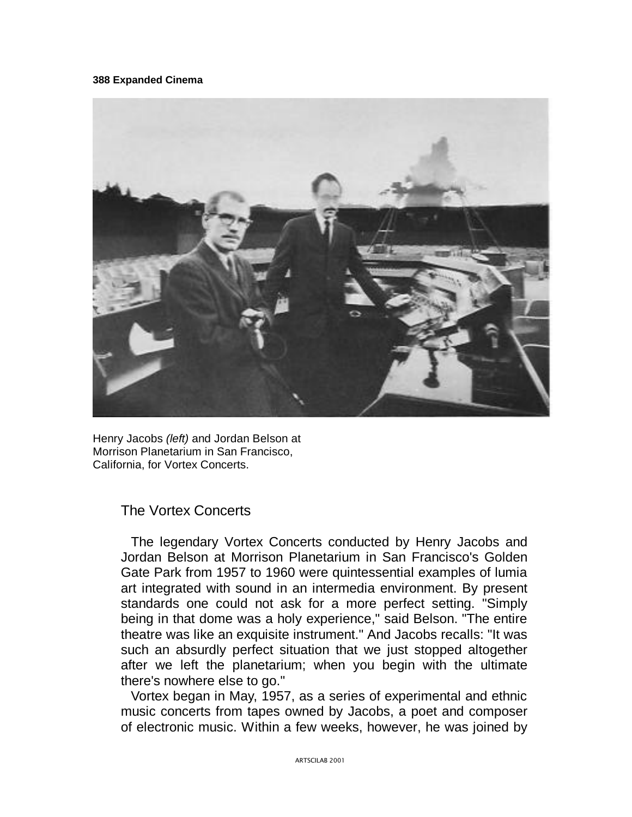

Henry Jacobs *(left)* and Jordan Belson at Morrison Planetarium in San Francisco, California, for Vortex Concerts.

## The Vortex Concerts

The legendary Vortex Concerts conducted by Henry Jacobs and Jordan Belson at Morrison Planetarium in San Francisco's Golden Gate Park from 1957 to 1960 were quintessential examples of lumia art integrated with sound in an intermedia environment. By present standards one could not ask for a more perfect setting. "Simply being in that dome was a holy experience," said Belson. "The entire theatre was like an exquisite instrument." And Jacobs recalls: "It was such an absurdly perfect situation that we just stopped altogether after we left the planetarium; when you begin with the ultimate there's nowhere else to go."

Vortex began in May, 1957, as a series of experimental and ethnic music concerts from tapes owned by Jacobs, a poet and composer of electronic music. Within a few weeks, however, he was joined by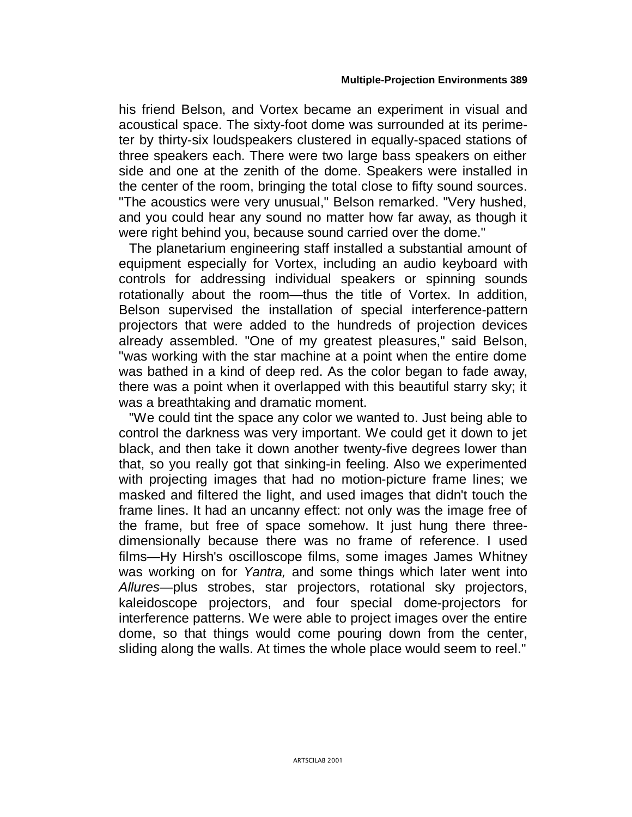his friend Belson, and Vortex became an experiment in visual and acoustical space. The sixty-foot dome was surrounded at its perimeter by thirty-six loudspeakers clustered in equally-spaced stations of three speakers each. There were two large bass speakers on either side and one at the zenith of the dome. Speakers were installed in the center of the room, bringing the total close to fifty sound sources. "The acoustics were very unusual," Belson remarked. "Very hushed, and you could hear any sound no matter how far away, as though it were right behind you, because sound carried over the dome."

The planetarium engineering staff installed a substantial amount of equipment especially for Vortex, including an audio keyboard with controls for addressing individual speakers or spinning sounds rotationally about the room— thus the title of Vortex. In addition, Belson supervised the installation of special interference-pattern projectors that were added to the hundreds of projection devices already assembled. "One of my greatest pleasures," said Belson, "was working with the star machine at a point when the entire dome was bathed in a kind of deep red. As the color began to fade away, there was a point when it overlapped with this beautiful starry sky; it was a breathtaking and dramatic moment.

"We could tint the space any color we wanted to. Just being able to control the darkness was very important. We could get it down to jet black, and then take it down another twenty-five degrees lower than that, so you really got that sinking-in feeling. Also we experimented with projecting images that had no motion-picture frame lines; we masked and filtered the light, and used images that didn't touch the frame lines. It had an uncanny effect: not only was the image free of the frame, but free of space somehow. It just hung there threedimensionally because there was no frame of reference. I used films— Hy Hirsh's oscilloscope films, some images James Whitney was working on for *Yantra,* and some things which later went into *Allures—* plus strobes, star projectors, rotational sky projectors, kaleidoscope projectors, and four special dome-projectors for interference patterns. We were able to project images over the entire dome, so that things would come pouring down from the center, sliding along the walls. At times the whole place would seem to reel."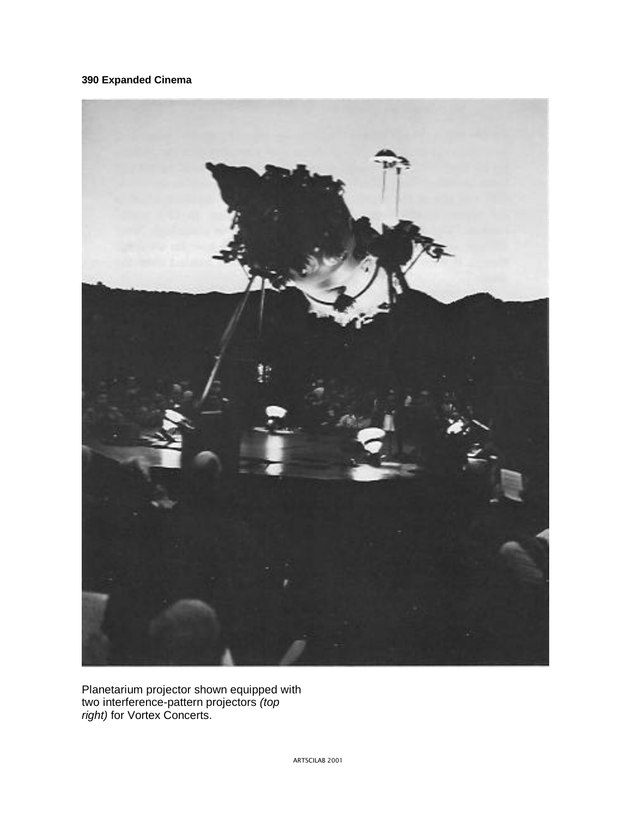

Planetarium projector shown equipped with two interference-pattern projectors *(top right)* for Vortex Concerts.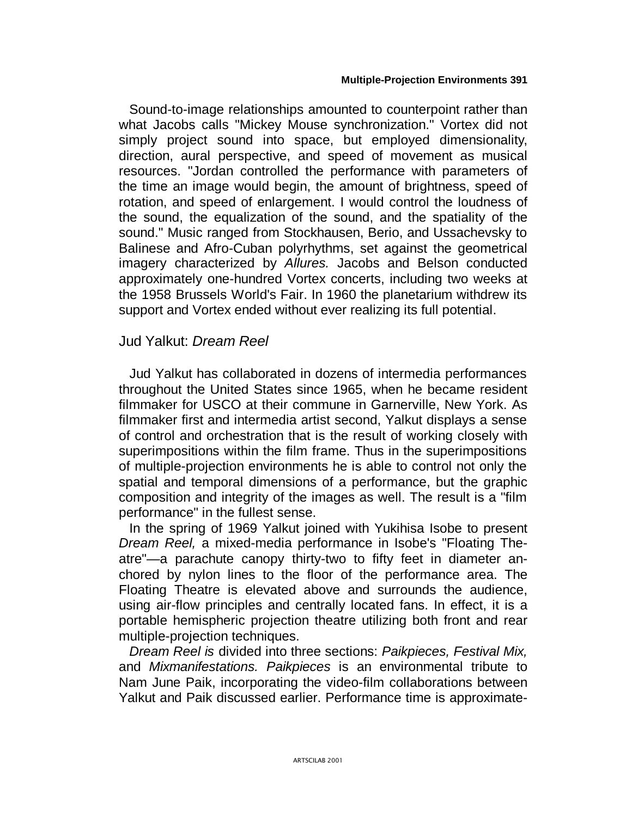Sound-to-image relationships amounted to counterpoint rather than what Jacobs calls "Mickey Mouse synchronization." Vortex did not simply project sound into space, but employed dimensionality, direction, aural perspective, and speed of movement as musical resources. "Jordan controlled the performance with parameters of the time an image would begin, the amount of brightness, speed of rotation, and speed of enlargement. I would control the loudness of the sound, the equalization of the sound, and the spatiality of the sound." Music ranged from Stockhausen, Berio, and Ussachevsky to Balinese and Afro-Cuban polyrhythms, set against the geometrical imagery characterized by *Allures.* Jacobs and Belson conducted approximately one-hundred Vortex concerts, including two weeks at the 1958 Brussels World's Fair. In 1960 the planetarium withdrew its support and Vortex ended without ever realizing its full potential.

# Jud Yalkut: *Dream Reel*

Jud Yalkut has collaborated in dozens of intermedia performances throughout the United States since 1965, when he became resident filmmaker for USCO at their commune in Garnerville, New York. As filmmaker first and intermedia artist second, Yalkut displays a sense of control and orchestration that is the result of working closely with superimpositions within the film frame. Thus in the superimpositions of multiple-projection environments he is able to control not only the spatial and temporal dimensions of a performance, but the graphic composition and integrity of the images as well. The result is a "film performance" in the fullest sense.

In the spring of 1969 Yalkut joined with Yukihisa Isobe to present *Dream Reel,* a mixed-media performance in Isobe's "Floating Theatre"—a parachute canopy thirty-two to fifty feet in diameter anchored by nylon lines to the floor of the performance area. The Floating Theatre is elevated above and surrounds the audience, using air-flow principles and centrally located fans. In effect, it is a portable hemispheric projection theatre utilizing both front and rear multiple-projection techniques.

*Dream Reel is* divided into three sections: *Paikpieces, Festival Mix,*  and *Mixmanifestations. Paikpieces* is an environmental tribute to Nam June Paik, incorporating the video-film collaborations between Yalkut and Paik discussed earlier. Performance time is approximate-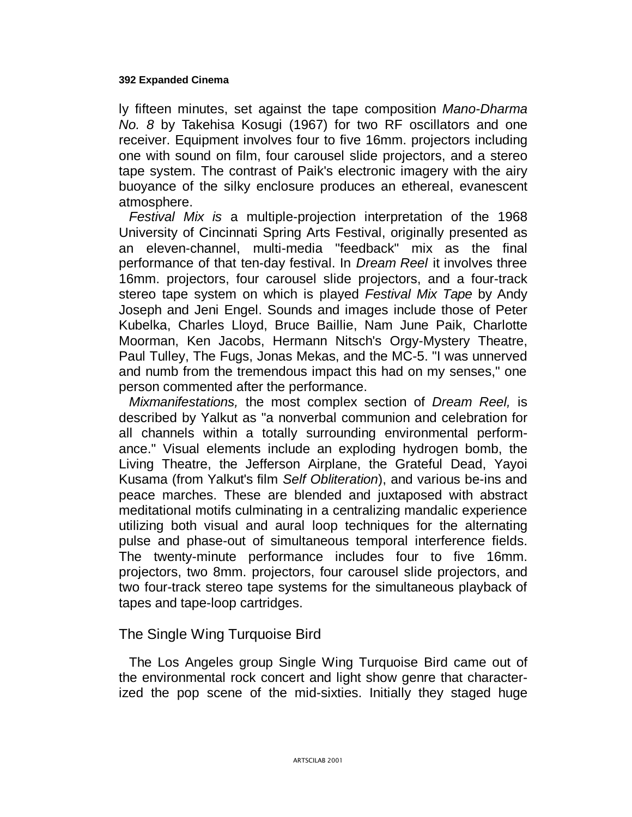ly fifteen minutes, set against the tape composition *Mano-Dharma No. 8* by Takehisa Kosugi (1967) for two RF oscillators and one receiver. Equipment involves four to five 16mm. projectors including one with sound on film, four carousel slide projectors, and a stereo tape system. The contrast of Paik's electronic imagery with the airy buoyance of the silky enclosure produces an ethereal, evanescent atmosphere.

*Festival Mix is* a multiple-projection interpretation of the 1968 University of Cincinnati Spring Arts Festival, originally presented as an eleven-channel, multi-media "feedback" mix as the final performance of that ten-day festival. In *Dream Reel* it involves three 16mm. projectors, four carousel slide projectors, and a four-track stereo tape system on which is played *Festival Mix Tape* by Andy Joseph and Jeni Engel. Sounds and images include those of Peter Kubelka, Charles Lloyd, Bruce Baillie, Nam June Paik, Charlotte Moorman, Ken Jacobs, Hermann Nitsch's Orgy-Mystery Theatre, Paul Tulley, The Fugs, Jonas Mekas, and the MC-5. "I was unnerved and numb from the tremendous impact this had on my senses," one person commented after the performance.

*Mixmanifestations,* the most complex section of *Dream Reel,* is described by Yalkut as "a nonverbal communion and celebration for all channels within a totally surrounding environmental performance." Visual elements include an exploding hydrogen bomb, the Living Theatre, the Jefferson Airplane, the Grateful Dead, Yayoi Kusama (from Yalkut's film *Self Obliteration*), and various be-ins and peace marches. These are blended and juxtaposed with abstract meditational motifs culminating in a centralizing mandalic experience utilizing both visual and aural loop techniques for the alternating pulse and phase-out of simultaneous temporal interference fields. The twenty-minute performance includes four to five 16mm. projectors, two 8mm. projectors, four carousel slide projectors, and two four-track stereo tape systems for the simultaneous playback of tapes and tape-loop cartridges.

## The Single Wing Turquoise Bird

The Los Angeles group Single Wing Turquoise Bird came out of the environmental rock concert and light show genre that characterized the pop scene of the mid-sixties. Initially they staged huge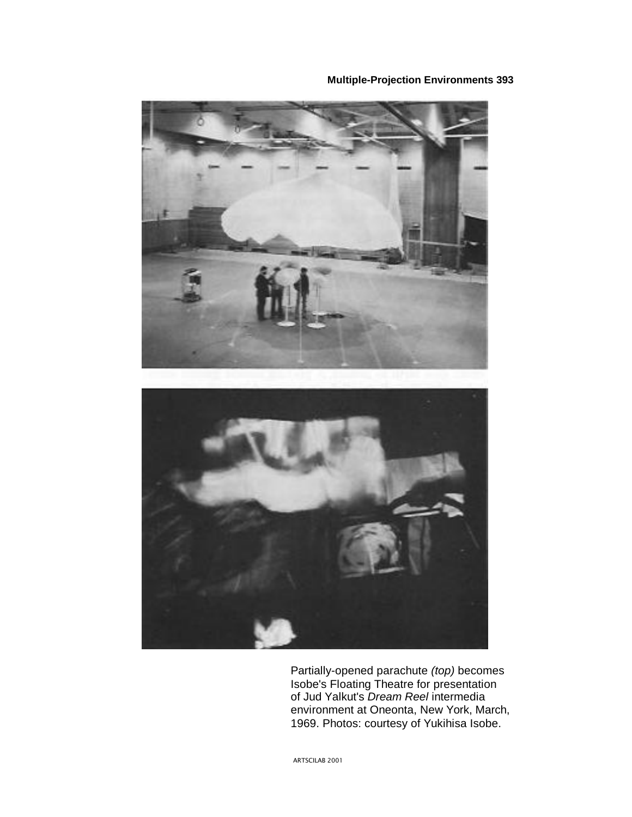

**Multiple-Projection Environments 393**

Partially-opened parachute *(top)* becomes Isobe's Floating Theatre for presentation of Jud Yalkut's *Dream Reel* intermedia environment at Oneonta, New York, March, 1969. Photos: courtesy of Yukihisa Isobe.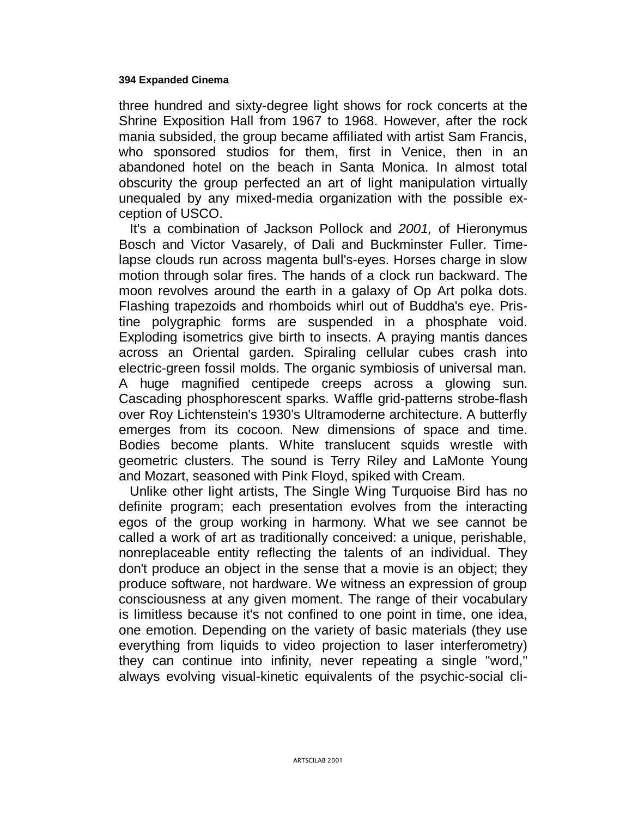three hundred and sixty-degree light shows for rock concerts at the Shrine Exposition Hall from 1967 to 1968. However, after the rock mania subsided, the group became affiliated with artist Sam Francis, who sponsored studios for them, first in Venice, then in an abandoned hotel on the beach in Santa Monica. In almost total obscurity the group perfected an art of light manipulation virtually unequaled by any mixed-media organization with the possible exception of USCO.

It's a combination of Jackson Pollock and *2001,* of Hieronymus Bosch and Victor Vasarely, of Dali and Buckminster Fuller. Timelapse clouds run across magenta bull's-eyes. Horses charge in slow motion through solar fires. The hands of a clock run backward. The moon revolves around the earth in a galaxy of Op Art polka dots. Flashing trapezoids and rhomboids whirl out of Buddha's eye. Pristine polygraphic forms are suspended in a phosphate void. Exploding isometrics give birth to insects. A praying mantis dances across an Oriental garden. Spiraling cellular cubes crash into electric-green fossil molds. The organic symbiosis of universal man. A huge magnified centipede creeps across a glowing sun. Cascading phosphorescent sparks. Waffle grid-patterns strobe-flash over Roy Lichtenstein's 1930's Ultramoderne architecture. A butterfly emerges from its cocoon. New dimensions of space and time. Bodies become plants. White translucent squids wrestle with geometric clusters. The sound is Terry Riley and LaMonte Young and Mozart, seasoned with Pink Floyd, spiked with Cream.

Unlike other light artists, The Single Wing Turquoise Bird has no definite program; each presentation evolves from the interacting egos of the group working in harmony. What we see cannot be called a work of art as traditionally conceived: a unique, perishable, nonreplaceable entity reflecting the talents of an individual. They don't produce an object in the sense that a movie is an object; they produce software, not hardware. We witness an expression of group consciousness at any given moment. The range of their vocabulary is limitless because it's not confined to one point in time, one idea, one emotion. Depending on the variety of basic materials (they use everything from liquids to video projection to laser interferometry) they can continue into infinity, never repeating a single "word," always evolving visual-kinetic equivalents of the psychic-social cli-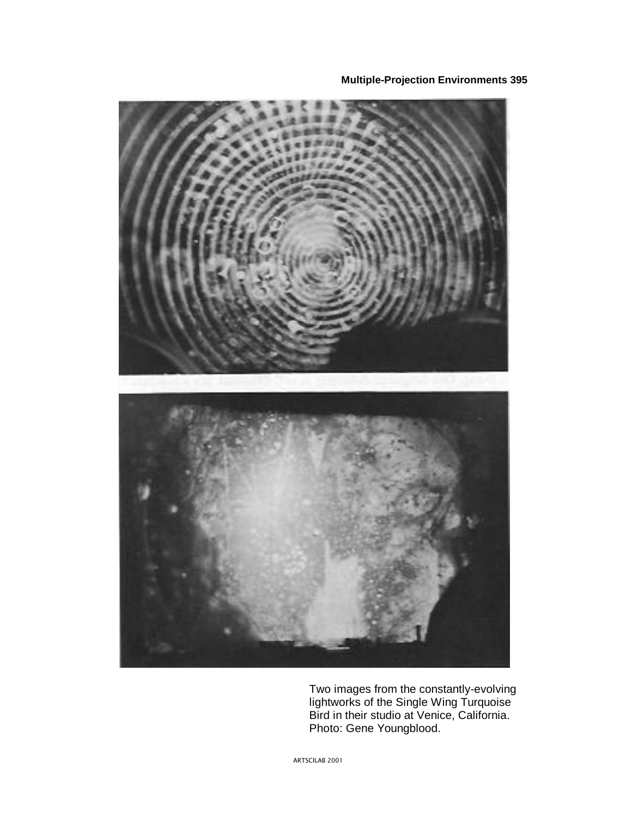**Multiple-Projection Environments 395**



Two images from the constantly-evolving lightworks of the Single Wing Turquoise Bird in their studio at Venice, California. Photo: Gene Youngblood.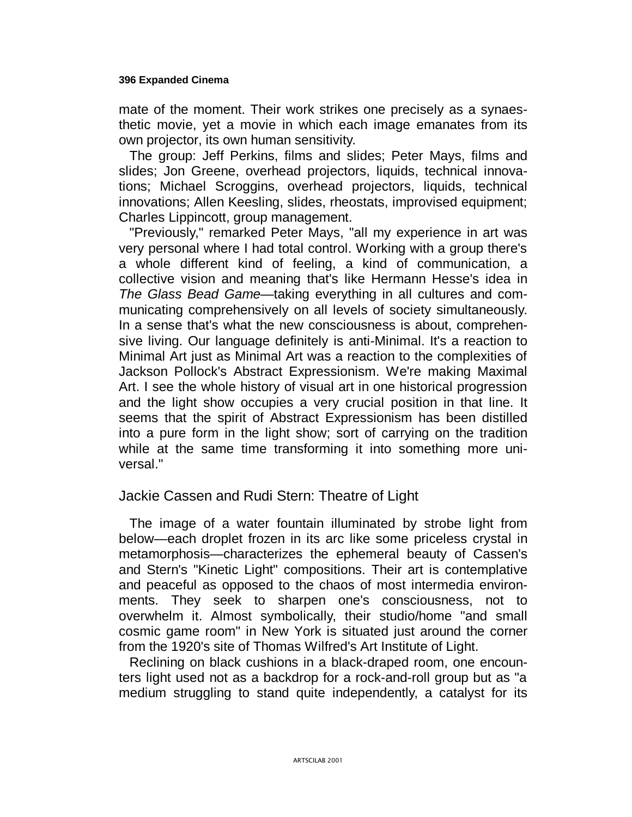mate of the moment. Their work strikes one precisely as a synaesthetic movie, yet a movie in which each image emanates from its own projector, its own human sensitivity.

The group: Jeff Perkins, films and slides; Peter Mays, films and slides; Jon Greene, overhead projectors, liquids, technical innovations; Michael Scroggins, overhead projectors, liquids, technical innovations; Allen Keesling, slides, rheostats, improvised equipment; Charles Lippincott, group management.

"Previously," remarked Peter Mays, "all my experience in art was very personal where I had total control. Working with a group there's a whole different kind of feeling, a kind of communication, a collective vision and meaning that's like Hermann Hesse's idea in *The Glass Bead Game—* taking everything in all cultures and communicating comprehensively on all levels of society simultaneously. In a sense that's what the new consciousness is about, comprehensive living. Our language definitely is anti-Minimal. It's a reaction to Minimal Art just as Minimal Art was a reaction to the complexities of Jackson Pollock's Abstract Expressionism. We're making Maximal Art. I see the whole history of visual art in one historical progression and the light show occupies a very crucial position in that line. It seems that the spirit of Abstract Expressionism has been distilled into a pure form in the light show; sort of carrying on the tradition while at the same time transforming it into something more universal."

## Jackie Cassen and Rudi Stern: Theatre of Light

The image of a water fountain illuminated by strobe light from below— each droplet frozen in its arc like some priceless crystal in metamorphosis— characterizes the ephemeral beauty of Cassen's and Stern's "Kinetic Light" compositions. Their art is contemplative and peaceful as opposed to the chaos of most intermedia environments. They seek to sharpen one's consciousness, not to overwhelm it. Almost symbolically, their studio/home "and small cosmic game room" in New York is situated just around the corner from the 1920's site of Thomas Wilfred's Art Institute of Light.

Reclining on black cushions in a black-draped room, one encounters light used not as a backdrop for a rock-and-roll group but as "a medium struggling to stand quite independently, a catalyst for its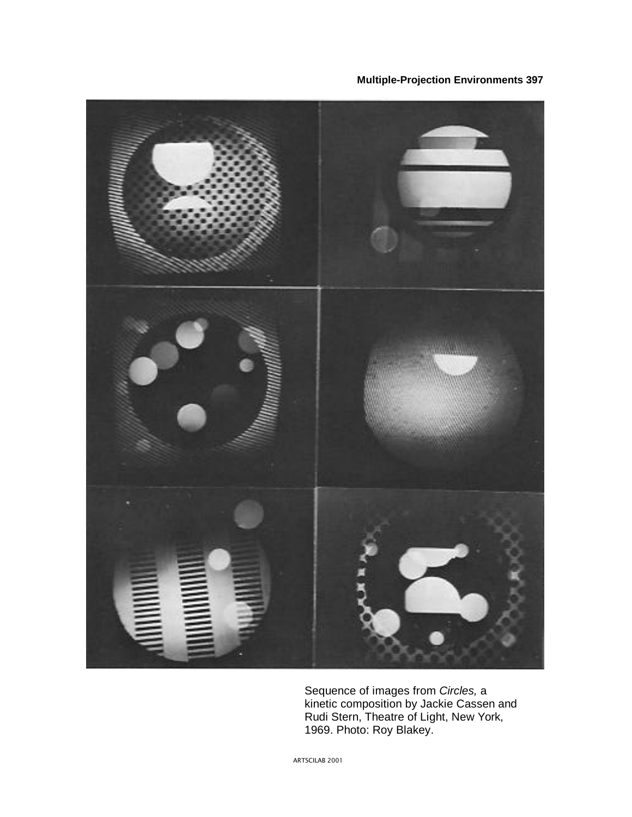



Sequence of images from *Circles,* a kinetic composition by Jackie Cassen and Rudi Stern, Theatre of Light, New York, 1969. Photo: Roy Blakey.